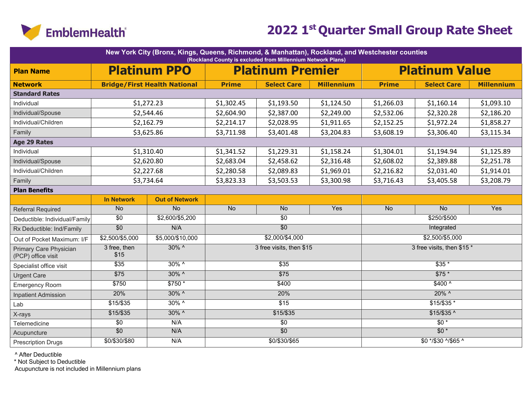

|                                              |                      | New York City (Bronx, Kings, Queens, Richmond, & Manhattan), Rockland, and Westchester counties |                                        | (Rockland County is excluded from Millennium Network Plans) |                   |                  |                            |                   |
|----------------------------------------------|----------------------|-------------------------------------------------------------------------------------------------|----------------------------------------|-------------------------------------------------------------|-------------------|------------------|----------------------------|-------------------|
| <b>Plan Name</b>                             |                      | <b>Platinum PPO</b>                                                                             |                                        | <b>Platinum Premier</b>                                     |                   |                  | <b>Platinum Value</b>      |                   |
| <b>Network</b>                               |                      | <b>Bridge/First Health National</b>                                                             | <b>Prime</b>                           | <b>Select Care</b>                                          | <b>Millennium</b> | <b>Prime</b>     | <b>Select Care</b>         | <b>Millennium</b> |
| <b>Standard Rates</b>                        |                      |                                                                                                 |                                        |                                                             |                   |                  |                            |                   |
| Individual                                   |                      | \$1,272.23                                                                                      | \$1,302.45                             | \$1,193.50                                                  | \$1,124.50        | \$1,266.03       | \$1,160.14                 | \$1,093.10        |
| Individual/Spouse                            |                      | \$2,544.46                                                                                      |                                        | \$2,387.00                                                  | \$2,249.00        | \$2,532.06       | \$2,320.28                 | \$2,186.20        |
| Individual/Children                          |                      | \$2,162.79                                                                                      | \$2,214.17                             | \$2,028.95                                                  | \$1,911.65        | \$2,152.25       | \$1,972.24                 | \$1,858.27        |
| Family                                       |                      | \$3,625.86                                                                                      | \$3,711.98                             | \$3,401.48                                                  | \$3,204.83        | \$3,608.19       | \$3,306.40                 | \$3,115.34        |
| <b>Age 29 Rates</b>                          |                      |                                                                                                 |                                        |                                                             |                   |                  |                            |                   |
| Individual                                   |                      | \$1,310.40                                                                                      | \$1,341.52                             | \$1,229.31                                                  | \$1,158.24        | \$1,304.01       | \$1,194.94                 | \$1,125.89        |
| Individual/Spouse                            |                      | \$2,620.80                                                                                      | \$2,683.04                             | \$2,458.62                                                  | \$2,316.48        | \$2,608.02       | \$2,389.88                 | \$2,251.78        |
| Individual/Children                          |                      | \$2,227.68                                                                                      | \$2,280.58<br>\$2,089.83<br>\$1,969.01 |                                                             |                   | \$2,216.82       | \$2,031.40                 | \$1,914.01        |
| Family                                       |                      | \$3,734.64                                                                                      | \$3,823.33<br>\$3,503.53<br>\$3,300.98 |                                                             |                   | \$3,716.43       | \$3,405.58                 | \$3,208.79        |
| <b>Plan Benefits</b>                         |                      |                                                                                                 |                                        |                                                             |                   |                  |                            |                   |
|                                              | <b>In Network</b>    | <b>Out of Network</b>                                                                           |                                        |                                                             |                   |                  |                            |                   |
| <b>Referral Required</b>                     | <b>No</b>            | $\overline{No}$                                                                                 | <b>No</b>                              | <b>No</b>                                                   | Yes               | <b>No</b>        | <b>No</b>                  | Yes               |
| Deductible: Individual/Family                | $\overline{30}$      | \$2,600/\$5,200                                                                                 |                                        | $\overline{30}$                                             |                   | \$250/\$500      |                            |                   |
| Rx Deductible: Ind/Family                    | $\overline{60}$      | N/A                                                                                             |                                        | $\overline{50}$                                             |                   | Integrated       |                            |                   |
| Out of Pocket Maximum: I/F                   | \$2,500/\$5,000      | \$5,000/\$10,000                                                                                |                                        | \$2,000/\$4,000                                             |                   |                  | $$2,500/\$5,000$           |                   |
| Primary Care Physician<br>(PCP) office visit | 3 free, then<br>\$15 | $30\%$ ^                                                                                        |                                        | 3 free visits, then \$15                                    |                   |                  | 3 free visits, then \$15 * |                   |
| Specialist office visit                      | $\overline{$35}$     | $30\%$ ^                                                                                        |                                        | \$35                                                        |                   |                  | $$35*$                     |                   |
| <b>Urgent Care</b>                           | $\overline{$75}$     | $30\%$ ^                                                                                        |                                        | $\overline{$75}$                                            |                   |                  | $$75*$                     |                   |
| <b>Emergency Room</b>                        | \$750                | $$750*$                                                                                         |                                        | \$400                                                       |                   |                  | $$400^{\circ}$             |                   |
| <b>Inpatient Admission</b>                   | 20%                  | $30\%$ ^                                                                                        |                                        | 20%                                                         |                   |                  | $20\%$ ^                   |                   |
| Lab                                          | \$15/\$35            | $30\%$ ^                                                                                        |                                        | $\overline{$15}$                                            |                   |                  | $$15/$35*$                 |                   |
| X-rays                                       | $$15/$ \$35          | $30\%$ ^                                                                                        |                                        | $$15/$ \$35                                                 |                   |                  | $$15/$ \$35 ^              |                   |
| Telemedicine                                 | $\overline{30}$      | N/A                                                                                             |                                        | $\overline{50}$                                             |                   | $\overline{50*}$ |                            |                   |
| Acupuncture                                  | $\overline{60}$      | N/A                                                                                             |                                        | $\overline{50}$                                             |                   |                  | $$0*$                      |                   |
| <b>Prescription Drugs</b>                    | \$0/\$30/\$80        | N/A                                                                                             |                                        | \$0/\$30/\$65                                               |                   |                  | \$0 */\$30 ^/\$65 ^        |                   |

^ After Deductible

\* Not Subject to Deductible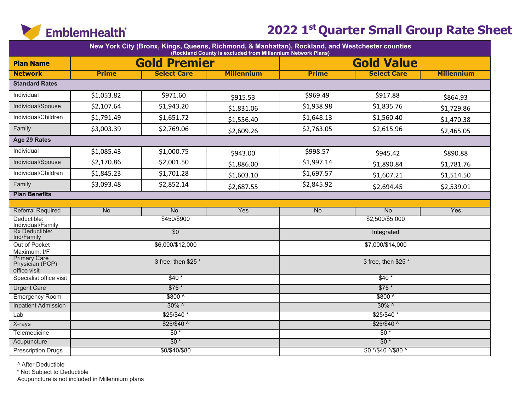

| New York City (Bronx, Kings, Queens, Richmond, & Manhattan), Rockland, and Westchester counties<br>(Rockland County is excluded from Millennium Network Plans) |              |                        |                   |                  |                     |                   |  |  |  |  |
|----------------------------------------------------------------------------------------------------------------------------------------------------------------|--------------|------------------------|-------------------|------------------|---------------------|-------------------|--|--|--|--|
| <b>Plan Name</b>                                                                                                                                               |              | <b>Gold Premier</b>    |                   |                  | <b>Gold Value</b>   |                   |  |  |  |  |
| <b>Network</b>                                                                                                                                                 | <b>Prime</b> | <b>Select Care</b>     | <b>Millennium</b> | <b>Prime</b>     | <b>Select Care</b>  | <b>Millennium</b> |  |  |  |  |
| <b>Standard Rates</b>                                                                                                                                          |              |                        |                   |                  |                     |                   |  |  |  |  |
| Individual                                                                                                                                                     | \$1,053.82   | \$971.60               | \$915.53          | \$969.49         | \$917.88            | \$864.93          |  |  |  |  |
| Individual/Spouse                                                                                                                                              | \$2,107.64   | \$1,943.20             | \$1,831.06        | \$1,938.98       | \$1,835.76          | \$1,729.86        |  |  |  |  |
| Individual/Children                                                                                                                                            | \$1,791.49   | \$1,651.72             | \$1,556.40        | \$1,648.13       | \$1,560.40          | \$1,470.38        |  |  |  |  |
| Family                                                                                                                                                         | \$3,003.39   | \$2,769.06             | \$2,609.26        | \$2,763.05       | \$2,615.96          | \$2,465.05        |  |  |  |  |
| Age 29 Rates                                                                                                                                                   |              |                        |                   |                  |                     |                   |  |  |  |  |
| Individual                                                                                                                                                     | \$1,085.43   | \$1,000.75             | \$943.00          | \$998.57         | \$945.42            | \$890.88          |  |  |  |  |
| Individual/Spouse                                                                                                                                              | \$2,170.86   | \$2,001.50             | \$1,886.00        | \$1,997.14       | \$1,890.84          | \$1,781.76        |  |  |  |  |
| Individual/Children                                                                                                                                            | \$1,845.23   | \$1,701.28             | \$1,603.10        | \$1,697.57       | \$1,607.21          | \$1,514.50        |  |  |  |  |
| Family                                                                                                                                                         | \$3,093.48   | \$2,852.14             | \$2,687.55        | \$2,845.92       | \$2,694.45          | \$2,539.01        |  |  |  |  |
| <b>Plan Benefits</b>                                                                                                                                           |              |                        |                   |                  |                     |                   |  |  |  |  |
| <b>Referral Required</b>                                                                                                                                       | <b>No</b>    | N <sub>o</sub>         | Yes               | <b>No</b>        | $\overline{No}$     | Yes               |  |  |  |  |
| Deductible:                                                                                                                                                    |              | \$450/\$900            |                   |                  | \$2,500/\$5,000     |                   |  |  |  |  |
| Individual/Family                                                                                                                                              |              |                        |                   |                  |                     |                   |  |  |  |  |
| Rx Deductible:<br>Ind/Family                                                                                                                                   |              | $\overline{50}$        |                   |                  | Integrated          |                   |  |  |  |  |
| Out of Pocket<br>Maximum: I/F                                                                                                                                  |              | \$6,000/\$12,000       |                   | \$7,000/\$14,000 |                     |                   |  |  |  |  |
| <b>Primary Care</b><br>Physician (PCP)<br>office visit                                                                                                         |              | 3 free, then \$25 *    |                   |                  | 3 free, then \$25 * |                   |  |  |  |  |
| Specialist office visit                                                                                                                                        |              | $$40*$                 |                   |                  | $$40*$              |                   |  |  |  |  |
| <b>Urgent Care</b>                                                                                                                                             |              | $$75*$                 |                   |                  | $$75*$              |                   |  |  |  |  |
| <b>Emergency Room</b>                                                                                                                                          |              | $$800^{\circ}$         |                   |                  | $$800^{\circ}$      |                   |  |  |  |  |
| <b>Inpatient Admission</b>                                                                                                                                     |              | $30\%$ ^               |                   |                  | $30\%$ ^            |                   |  |  |  |  |
| Lab                                                                                                                                                            |              | $$25/$40*$             |                   |                  | $$25/$40*$          |                   |  |  |  |  |
| X-rays                                                                                                                                                         |              | $$25/$40$ <sup>^</sup> |                   |                  | $$25/$40^{\circ}$   |                   |  |  |  |  |
| Telemedicine                                                                                                                                                   |              | $$0*$                  |                   |                  | $$0*$               |                   |  |  |  |  |
| Acupuncture                                                                                                                                                    |              | $$0*$                  |                   |                  | $$0*$               |                   |  |  |  |  |
| <b>Prescription Drugs</b>                                                                                                                                      |              | \$0/\$40/\$80          |                   |                  | \$0 */\$40 ^/\$80 ^ |                   |  |  |  |  |

^ After Deductible

\* Not Subject to Deductible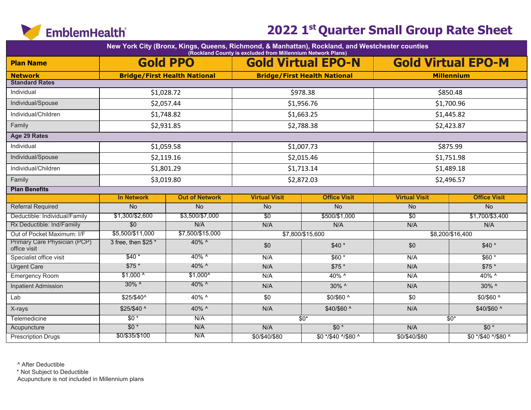

|                                              |                     |                                     | (Rockland County is excluded from Millennium Network Plans) | New York City (Bronx, Kings, Queens, Richmond, & Manhattan), Rockland, and Westchester counties |                      |                           |
|----------------------------------------------|---------------------|-------------------------------------|-------------------------------------------------------------|-------------------------------------------------------------------------------------------------|----------------------|---------------------------|
| <b>Plan Name</b>                             |                     | <b>Gold PPO</b>                     |                                                             | <b>Gold Virtual EPO-N</b>                                                                       |                      | <b>Gold Virtual EPO-M</b> |
| <b>Network</b>                               |                     | <b>Bridge/First Health National</b> |                                                             | <b>Bridge/First Health National</b>                                                             |                      | <b>Millennium</b>         |
| <b>Standard Rates</b>                        |                     |                                     |                                                             |                                                                                                 |                      |                           |
| Individual                                   | \$1,028.72          |                                     | \$978.38                                                    |                                                                                                 | \$850.48             |                           |
| Individual/Spouse                            |                     | \$2,057.44                          |                                                             | \$1,956.76                                                                                      |                      | \$1,700.96                |
| Individual/Children                          | \$1,748.82          |                                     |                                                             | \$1,663.25                                                                                      |                      | \$1,445.82                |
| Family                                       | \$2,931.85          |                                     |                                                             | \$2,788.38                                                                                      |                      | \$2,423.87                |
| Age 29 Rates                                 |                     |                                     |                                                             |                                                                                                 |                      |                           |
| Individual                                   | \$1,059.58          |                                     |                                                             | \$1,007.73                                                                                      |                      | \$875.99                  |
| Individual/Spouse                            | \$2,119.16          |                                     | \$2,015.46                                                  |                                                                                                 |                      | \$1,751.98                |
| Individual/Children                          |                     | \$1,801.29                          |                                                             | \$1,713.14                                                                                      |                      | \$1,489.18                |
| Family                                       | \$3,019.80          |                                     |                                                             | \$2,872.03                                                                                      |                      | \$2,496.57                |
| <b>Plan Benefits</b>                         |                     |                                     |                                                             |                                                                                                 |                      |                           |
|                                              | <b>In Network</b>   | <b>Out of Network</b>               | <b>Virtual Visit</b>                                        | <b>Office Visit</b>                                                                             | <b>Virtual Visit</b> | <b>Office Visit</b>       |
| <b>Referral Required</b>                     | <b>No</b>           | <b>No</b>                           | No                                                          | No                                                                                              | No                   | No                        |
| Deductible: Individual/Family                | \$1,300/\$2,600     | \$3,500/\$7,000                     | $\overline{30}$                                             | \$500/\$1,000                                                                                   | $\overline{30}$      | \$1,700/\$3,400           |
| Rx Deductible: Ind/Familly                   | \$0                 | N/A                                 | N/A                                                         | N/A                                                                                             | N/A                  | N/A                       |
| Out of Pocket Maximum: I/F                   | \$5,500/\$11,000    | \$7,500/\$15,000                    |                                                             | \$7,800/\$15,600                                                                                |                      | \$8,200/\$16,400          |
| Primary Care Physician (PCP)<br>office visit | 3 free, then $$25*$ | 40% ^                               | \$0                                                         | $$40*$                                                                                          | \$0                  | $$40*$                    |
| Specialist office visit                      | $$40*$              | $40\%$ ^                            | N/A                                                         | $$60*$                                                                                          | N/A                  | $$60*$                    |
| <b>Urgent Care</b>                           | $$75*$              | 40% ^                               | N/A                                                         | $$75*$                                                                                          | N/A                  | $$75*$                    |
| <b>Emergency Room</b>                        | $$1,000^{\circ}$    | $$1,000^{\circ}$                    | N/A                                                         | 40% ^                                                                                           | N/A                  | 40% ^                     |
| <b>Inpatient Admission</b>                   | $30\%$ ^            | 40% ^                               | N/A                                                         | 30% ^                                                                                           | N/A                  | 30% ^                     |
| Lab                                          | \$25/\$40^          | 40% ^                               | \$0                                                         | \$0/\$60 ^                                                                                      | \$0                  | \$0/\$60 ^                |
| X-rays                                       | \$25/\$40 ^         | 40% ^                               | N/A                                                         | \$40/\$60 ^                                                                                     | N/A                  | \$40/\$60 ^               |
| Telemedicine                                 | $$0*$               | N/A                                 |                                                             | $$0^*$                                                                                          |                      | $$0^*$                    |
| Acupuncture                                  | $$0*$               | N/A                                 | N/A                                                         | $$0*$                                                                                           | N/A                  | $$0*$                     |
| <b>Prescription Drugs</b>                    | \$0/\$35/\$100      | N/A                                 | \$0/\$40/\$80                                               | \$0 */\$40 ^/\$80 ^                                                                             | \$0/\$40/\$80        | \$0 */\$40 ^/\$80 ^       |

^ After Deductible

\* Not Subject to Deductible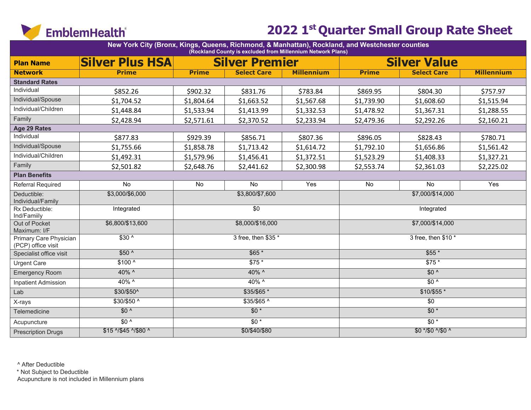

| New York City (Bronx, Kings, Queens, Richmond, & Manhattan), Rockland, and Westchester counties<br>(Rockland County is excluded from Millennium Network Plans) |                        |              |                       |                   |                  |                     |                   |  |  |  |  |
|----------------------------------------------------------------------------------------------------------------------------------------------------------------|------------------------|--------------|-----------------------|-------------------|------------------|---------------------|-------------------|--|--|--|--|
| <b>Plan Name</b>                                                                                                                                               | <b>Silver Plus HSA</b> |              | <b>Silver Premier</b> |                   |                  | <b>Silver Value</b> |                   |  |  |  |  |
| <b>Network</b>                                                                                                                                                 | <b>Prime</b>           | <b>Prime</b> | <b>Select Care</b>    | <b>Millennium</b> | <b>Prime</b>     | <b>Select Care</b>  | <b>Millennium</b> |  |  |  |  |
| <b>Standard Rates</b>                                                                                                                                          |                        |              |                       |                   |                  |                     |                   |  |  |  |  |
| Individual                                                                                                                                                     | \$852.26               | \$902.32     | \$831.76              | \$783.84          | \$869.95         | \$804.30            | \$757.97          |  |  |  |  |
| Individual/Spouse                                                                                                                                              | \$1,704.52             | \$1,804.64   | \$1,663.52            | \$1,567.68        | \$1,739.90       | \$1,608.60          | \$1,515.94        |  |  |  |  |
| Individual/Children                                                                                                                                            | \$1,448.84             | \$1,533.94   | \$1,413.99            | \$1,332.53        | \$1,478.92       | \$1,367.31          | \$1,288.55        |  |  |  |  |
| Family                                                                                                                                                         | \$2,428.94             | \$2,571.61   | \$2,370.52            | \$2,233.94        | \$2,479.36       | \$2,292.26          | \$2,160.21        |  |  |  |  |
| Age 29 Rates                                                                                                                                                   |                        |              |                       |                   |                  |                     |                   |  |  |  |  |
| Individual                                                                                                                                                     | \$877.83               | \$929.39     | \$856.71              | \$807.36          | \$896.05         | \$828.43            | \$780.71          |  |  |  |  |
| Individual/Spouse                                                                                                                                              | \$1,755.66             | \$1,858.78   | \$1,713.42            | \$1,614.72        | \$1,792.10       | \$1,656.86          | \$1,561.42        |  |  |  |  |
| Individual/Children                                                                                                                                            | \$1,492.31             | \$1,579.96   | \$1,456.41            | \$1,372.51        | \$1,523.29       | \$1,408.33          | \$1,327.21        |  |  |  |  |
| Family                                                                                                                                                         | \$2,501.82             | \$2,648.76   | \$2,441.62            | \$2,300.98        | \$2,553.74       | \$2,361.03          | \$2,225.02        |  |  |  |  |
| <b>Plan Benefits</b>                                                                                                                                           |                        |              |                       |                   |                  |                     |                   |  |  |  |  |
| Referral Required                                                                                                                                              | No                     | No           | No                    | Yes               | No               | $\overline{No}$     | Yes               |  |  |  |  |
| Deductible:<br>Individual/Family                                                                                                                               | \$3,000/\$6,000        |              | \$3,800/\$7,600       |                   |                  | \$7,000/\$14,000    |                   |  |  |  |  |
| Rx Deductible:<br>Ind/Familly                                                                                                                                  | Integrated             |              | $\sqrt{6}$            |                   | Integrated       |                     |                   |  |  |  |  |
| Out of Pocket<br>Maximum: I/F                                                                                                                                  | \$6,800/\$13,600       |              | \$8,000/\$16,000      |                   | \$7,000/\$14,000 |                     |                   |  |  |  |  |
| Primary Care Physician<br>(PCP) office visit                                                                                                                   | $$30^{\circ}$          |              | 3 free, then \$35 *   |                   |                  | 3 free, then \$10 * |                   |  |  |  |  |
| Specialist office visit                                                                                                                                        | $$50^{\circ}$          |              | $$65*$                |                   |                  | $$55*$              |                   |  |  |  |  |
| <b>Urgent Care</b>                                                                                                                                             | $$100^{\circ}$         |              | $$75*$                |                   |                  | \$75 *              |                   |  |  |  |  |
| <b>Emergency Room</b>                                                                                                                                          | 40% ^                  |              | $40\%$ ^              |                   |                  | $$0^{\prime}$       |                   |  |  |  |  |
| <b>Inpatient Admission</b>                                                                                                                                     | 40% ^                  |              | 40% ^                 |                   |                  | $$0^{\prime}$       |                   |  |  |  |  |
| Lab                                                                                                                                                            | \$30/\$50^             |              | $$35/$65$ *           |                   |                  | $$10/$55*$          |                   |  |  |  |  |
| X-rays                                                                                                                                                         | \$30/\$50 ^            |              | \$35/\$65 ^           |                   |                  | \$0                 |                   |  |  |  |  |
| Telemedicine                                                                                                                                                   | $$0^{\prime}$          |              | $$0*$                 |                   |                  | $$0*$               |                   |  |  |  |  |
| Acupuncture                                                                                                                                                    | $$0^{\prime}$          |              | $$0*$                 |                   |                  | $$0*$               |                   |  |  |  |  |
| <b>Prescription Drugs</b>                                                                                                                                      | \$15 ^/\$45 ^/\$80 ^   |              | \$0/\$40/\$80         |                   |                  | $$0$ */\$0 ^/\$0 ^  |                   |  |  |  |  |

^ After Deductible

\* Not Subject to Deductible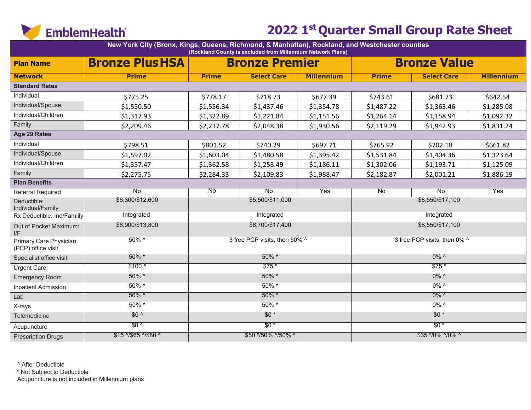

|                                              | New York City (Bronx, Kings, Queens, Richmond, & Manhattan), Rockland, and Westchester counties<br>(Rockland County is excluded from Millennium Network Plans) |                    |                               |                   |                  |                              |                   |  |  |  |  |  |
|----------------------------------------------|----------------------------------------------------------------------------------------------------------------------------------------------------------------|--------------------|-------------------------------|-------------------|------------------|------------------------------|-------------------|--|--|--|--|--|
| <b>Plan Name</b>                             | <b>Bronze Plus HSA</b>                                                                                                                                         |                    | <b>Bronze Premier</b>         |                   |                  | <b>Bronze Value</b>          |                   |  |  |  |  |  |
| <b>Network</b>                               | <b>Prime</b>                                                                                                                                                   | <b>Prime</b>       | <b>Select Care</b>            | <b>Millennium</b> | <b>Prime</b>     | <b>Select Care</b>           | <b>Millennium</b> |  |  |  |  |  |
| <b>Standard Rates</b>                        |                                                                                                                                                                |                    |                               |                   |                  |                              |                   |  |  |  |  |  |
| Individual                                   | \$775.25                                                                                                                                                       | \$778.17           | \$718.73                      | \$677.39          | \$743.61         | \$681.73                     | \$642.54          |  |  |  |  |  |
| Individual/Spouse                            | \$1,550.50                                                                                                                                                     | \$1,556.34         | \$1,437.46                    | \$1,354.78        | \$1,487.22       | \$1,363.46                   | \$1,285.08        |  |  |  |  |  |
| Individual/Children                          | \$1,317.93                                                                                                                                                     | \$1,322.89         | \$1,221.84                    | \$1,151.56        | \$1,264.14       | \$1,158.94                   | \$1,092.32        |  |  |  |  |  |
| Family                                       | \$2,209.46                                                                                                                                                     | \$2,217.78         | \$2,048.38                    | \$1,930.56        | \$2,119.29       | \$1,942.93                   | \$1,831.24        |  |  |  |  |  |
| Age 29 Rates                                 |                                                                                                                                                                |                    |                               |                   |                  |                              |                   |  |  |  |  |  |
| Individual                                   | \$798.51                                                                                                                                                       | \$801.52           | \$740.29                      | \$697.71          | \$765.92         | \$702.18                     | \$661.82          |  |  |  |  |  |
| Individual/Spouse                            | \$1,597.02                                                                                                                                                     | \$1,603.04         | \$1,480.58                    | \$1,395.42        | \$1,531.84       | \$1,404.36                   | \$1,323.64        |  |  |  |  |  |
| Individual/Children                          | \$1,357.47                                                                                                                                                     | \$1,362.58         | \$1,258.49                    | \$1,186.11        | \$1,302.06       | \$1,193.71                   | \$1,125.09        |  |  |  |  |  |
| Family                                       | \$2,275.75                                                                                                                                                     | \$2,284.33         | \$2,109.83                    | \$1,988.47        | \$2,182.87       | \$2,001.21                   | \$1,886.19        |  |  |  |  |  |
| <b>Plan Benefits</b>                         |                                                                                                                                                                |                    |                               |                   |                  |                              |                   |  |  |  |  |  |
| Referral Required                            | $\overline{N_{0}}$                                                                                                                                             | $\overline{N_{0}}$ | $\overline{N_{0}}$            | Yes               | $\overline{N}$   | $\overline{N_{0}}$           | Yes               |  |  |  |  |  |
| Deductible:<br>Individual/Family             | \$6,300/\$12,600                                                                                                                                               |                    | \$5,500/\$11,000              |                   |                  | \$8,550/\$17,100             |                   |  |  |  |  |  |
| Rx Deductible: Ind/Familly                   | Integrated                                                                                                                                                     |                    | Integrated                    |                   |                  | Integrated                   |                   |  |  |  |  |  |
| Out of Pocket Maximum:<br>I/F                | \$6,900/\$13,800                                                                                                                                               |                    | \$8,700/\$17,400              |                   | \$8,550/\$17,100 |                              |                   |  |  |  |  |  |
| Primary Care Physician<br>(PCP) office visit | $50\%$ ^                                                                                                                                                       |                    | 3 free PCP visits, then 50% ^ |                   |                  | 3 free PCP visits, then 0% ^ |                   |  |  |  |  |  |
| Specialist office visit                      | 50% ^                                                                                                                                                          |                    | 50% ^                         |                   |                  | $0\%$ ^                      |                   |  |  |  |  |  |
| <b>Urgent Care</b>                           | $$100^{\circ}$                                                                                                                                                 |                    | $$75*$                        |                   |                  | $$75*$                       |                   |  |  |  |  |  |
| <b>Emergency Room</b>                        | 50% ^                                                                                                                                                          |                    | $50\%$ ^                      |                   |                  | $0\%$ ^                      |                   |  |  |  |  |  |
| <b>Inpatient Admission</b>                   | $50\%$ ^                                                                                                                                                       |                    | $50\%$ ^                      |                   |                  | $0\%$ ^                      |                   |  |  |  |  |  |
| Lab                                          | 50% ^                                                                                                                                                          |                    | $50\%$ ^                      |                   |                  | $0\%$ ^                      |                   |  |  |  |  |  |
| X-rays                                       | $50\%$ ^                                                                                                                                                       |                    | $50\%$ ^                      |                   |                  | $0\%$ ^                      |                   |  |  |  |  |  |
| Telemedicine                                 | $$0^{\prime}$                                                                                                                                                  |                    | $$0*$                         |                   |                  | $$0*$                        |                   |  |  |  |  |  |
| Acupuncture                                  | $$0^{\prime}$                                                                                                                                                  |                    | $$0*$                         |                   |                  | $$0*$                        |                   |  |  |  |  |  |
| <b>Prescription Drugs</b>                    | \$15 ^/\$65 ^/\$80 ^                                                                                                                                           |                    | \$50 */50% ^/50% ^            |                   |                  | \$35 */0% ^/0% ^             |                   |  |  |  |  |  |

^ After Deductible

\* Not Subject to Deductible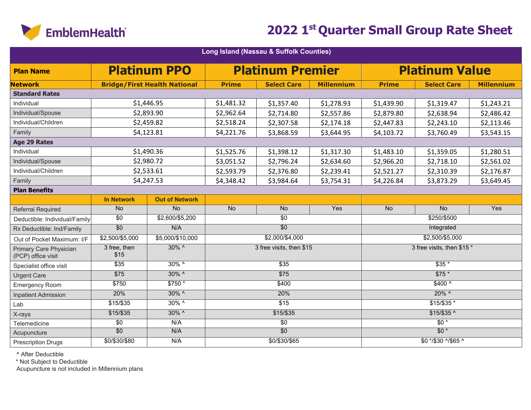

| Long Island (Nassau & Suffolk Counties)      |                      |                                     |                                        |                          |                   |              |                            |                   |  |  |  |
|----------------------------------------------|----------------------|-------------------------------------|----------------------------------------|--------------------------|-------------------|--------------|----------------------------|-------------------|--|--|--|
| <b>Plan Name</b>                             |                      | <b>Platinum PPO</b>                 |                                        | <b>Platinum Premier</b>  |                   |              | <b>Platinum Value</b>      |                   |  |  |  |
| <b>Network</b>                               |                      | <b>Bridge/First Health National</b> | <b>Prime</b>                           | <b>Select Care</b>       | <b>Millennium</b> | <b>Prime</b> | <b>Select Care</b>         | <b>Millennium</b> |  |  |  |
| <b>Standard Rates</b>                        |                      |                                     |                                        |                          |                   |              |                            |                   |  |  |  |
| Individual                                   |                      | \$1,446.95                          | \$1,481.32                             | \$1,357.40<br>\$1,278.93 |                   |              | \$1,319.47                 | \$1,243.21        |  |  |  |
| Individual/Spouse                            |                      | \$2,893.90                          | \$2,962.64                             | \$2,714.80               | \$2,557.86        | \$2,879.80   | \$2,638.94                 | \$2,486.42        |  |  |  |
| Individual/Children                          |                      | \$2,459.82                          | \$2,518.24                             | \$2,307.58               | \$2,174.18        | \$2,447.83   | \$2,243.10                 | \$2,113.46        |  |  |  |
| Family                                       |                      | \$4,123.81                          | \$4,221.76                             | \$3,868.59               | \$3,644.95        | \$4,103.72   | \$3,760.49                 | \$3,543.15        |  |  |  |
| Age 29 Rates                                 |                      |                                     |                                        |                          |                   |              |                            |                   |  |  |  |
| Individual                                   |                      | \$1,490.36                          | \$1,525.76                             | \$1,398.12               | \$1,317.30        | \$1,483.10   | \$1,359.05                 | \$1,280.51        |  |  |  |
| Individual/Spouse                            |                      | \$2,980.72                          | \$3,051.52                             | \$2,796.24               | \$2,634.60        | \$2,966.20   | \$2,718.10                 | \$2,561.02        |  |  |  |
| Individual/Children                          |                      | \$2,533.61                          | \$2,593.79<br>\$2,376.80<br>\$2,239.41 |                          |                   | \$2,521.27   | \$2,310.39                 | \$2,176.87        |  |  |  |
| Family                                       |                      | \$4,247.53                          | \$4,348.42<br>\$3,984.64<br>\$3,754.31 |                          |                   | \$4,226.84   | \$3,873.29                 | \$3,649.45        |  |  |  |
| <b>Plan Benefits</b>                         |                      |                                     |                                        |                          |                   |              |                            |                   |  |  |  |
|                                              | <b>In Network</b>    | <b>Out of Network</b>               |                                        |                          |                   |              |                            |                   |  |  |  |
| <b>Referral Required</b>                     | <b>No</b>            | $\overline{No}$                     | <b>No</b>                              | <b>No</b>                | Yes               | <b>No</b>    | $\overline{No}$            | Yes               |  |  |  |
| Deductible: Individual/Family                | $\overline{30}$      | \$2,600/\$5,200                     |                                        | $\overline{50}$          |                   | \$250/\$500  |                            |                   |  |  |  |
| Rx Deductible: Ind/Family                    | $\overline{50}$      | N/A                                 |                                        | $\overline{50}$          |                   | Integrated   |                            |                   |  |  |  |
| Out of Pocket Maximum: I/F                   | \$2,500/\$5,000      | \$5,000/\$10,000                    |                                        | \$2,000/\$4,000          |                   |              | $$2,500/\$5,000$           |                   |  |  |  |
| Primary Care Physician<br>(PCP) office visit | 3 free, then<br>\$15 | $30\%$ ^                            |                                        | 3 free visits, then \$15 |                   |              | 3 free visits, then \$15 * |                   |  |  |  |
| Specialist office visit                      | $\overline{$35}$     | $30\%$ ^                            |                                        | \$35                     |                   |              | $$35*$                     |                   |  |  |  |
| <b>Urgent Care</b>                           | $\overline{$75}$     | $30\%$ ^                            |                                        | $\overline{$75}$         |                   |              | $$75*$                     |                   |  |  |  |
| <b>Emergency Room</b>                        | \$750                | $$750*$                             |                                        | \$400                    |                   |              | $$400^{\circ}$             |                   |  |  |  |
| <b>Inpatient Admission</b>                   | 20%                  | $30\%$ ^                            |                                        | 20%                      |                   |              | $20\%$ ^                   |                   |  |  |  |
| Lab                                          | $$15/$ \$35          | $30\%$ ^                            |                                        | $\overline{$15}$         |                   |              | $$15/\$35*$                |                   |  |  |  |
| X-rays                                       | $$15/$ \$35          | 30% ^                               |                                        | $$15/$ \$35              |                   |              | $$15/$ \$35 ^              |                   |  |  |  |
| Telemedicine                                 | $\overline{50}$      | N/A                                 |                                        | $\sqrt{50}$              |                   |              | $\overline{50*}$           |                   |  |  |  |
| Acupuncture                                  | $\overline{50}$      | N/A                                 |                                        | $\overline{50}$          |                   |              | $$0*$                      |                   |  |  |  |
| <b>Prescription Drugs</b>                    | \$0/\$30/\$80        | N/A                                 |                                        | \$0/\$30/\$65            |                   |              | \$0 */\$30 ^/\$65 ^        |                   |  |  |  |

^ After Deductible

\* Not Subject to Deductible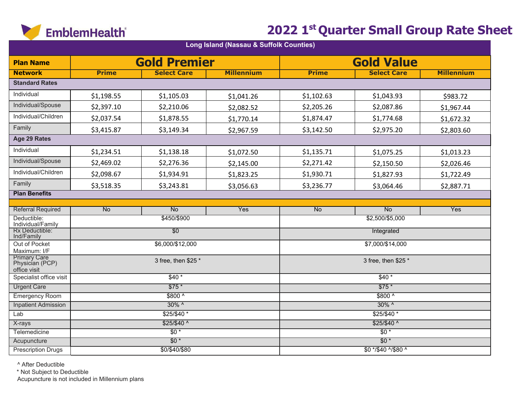

| Long Island (Nassau & Suffolk Counties)                                |              |                     |                   |              |                     |                   |  |  |  |  |  |
|------------------------------------------------------------------------|--------------|---------------------|-------------------|--------------|---------------------|-------------------|--|--|--|--|--|
| <b>Plan Name</b>                                                       |              | <b>Gold Premier</b> |                   |              | <b>Gold Value</b>   |                   |  |  |  |  |  |
| <b>Network</b>                                                         | <b>Prime</b> | <b>Select Care</b>  | <b>Millennium</b> | <b>Prime</b> | <b>Select Care</b>  | <b>Millennium</b> |  |  |  |  |  |
| <b>Standard Rates</b>                                                  |              |                     |                   |              |                     |                   |  |  |  |  |  |
| Individual                                                             | \$1,198.55   | \$1,105.03          | \$1,041.26        | \$1,102.63   | \$1,043.93          | \$983.72          |  |  |  |  |  |
| Individual/Spouse                                                      | \$2,397.10   | \$2,210.06          | \$2,082.52        | \$2,205.26   | \$2,087.86          | \$1,967.44        |  |  |  |  |  |
| Individual/Children                                                    | \$2,037.54   | \$1,878.55          | \$1,770.14        | \$1,874.47   | \$1,774.68          | \$1,672.32        |  |  |  |  |  |
| Family                                                                 | \$3,415.87   | \$3,149.34          | \$2,967.59        | \$3,142.50   | \$2,975.20          | \$2,803.60        |  |  |  |  |  |
| Age 29 Rates                                                           |              |                     |                   |              |                     |                   |  |  |  |  |  |
| Individual                                                             | \$1,234.51   | \$1,138.18          | \$1,072.50        | \$1,135.71   | \$1,075.25          | \$1,013.23        |  |  |  |  |  |
| Individual/Spouse                                                      | \$2,469.02   | \$2,276.36          | \$2,145.00        | \$2,271.42   | \$2,150.50          | \$2,026.46        |  |  |  |  |  |
| Individual/Children                                                    | \$2,098.67   | \$1,934.91          | \$1,823.25        | \$1,930.71   | \$1,827.93          | \$1,722.49        |  |  |  |  |  |
| Family                                                                 | \$3,518.35   | \$3,243.81          | \$3,056.63        | \$3,236.77   | \$3,064.46          | \$2,887.71        |  |  |  |  |  |
| <b>Plan Benefits</b>                                                   |              |                     |                   |              |                     |                   |  |  |  |  |  |
| <b>Referral Required</b>                                               | No           | No                  | Yes               | <b>No</b>    | No                  | Yes               |  |  |  |  |  |
| Deductible:                                                            |              | \$450/\$900         |                   |              | \$2,500/\$5,000     |                   |  |  |  |  |  |
| Individual/Family                                                      |              |                     |                   |              |                     |                   |  |  |  |  |  |
| Rx Deductible:<br>Ind/Family                                           |              | $\overline{50}$     |                   |              | Integrated          |                   |  |  |  |  |  |
| Out of Pocket                                                          |              | \$6,000/\$12,000    |                   |              | \$7,000/\$14,000    |                   |  |  |  |  |  |
| Maximum: I/F<br><b>Primary Care</b><br>Physician (PCP)<br>office visit |              | 3 free, then \$25 * |                   |              | 3 free, then \$25 * |                   |  |  |  |  |  |
| Specialist office visit                                                |              | $$40*$              |                   |              | $$40*$              |                   |  |  |  |  |  |
| <b>Urgent Care</b>                                                     |              | $$75*$              |                   |              | $$75*$              |                   |  |  |  |  |  |
| <b>Emergency Room</b>                                                  |              | $$800^{\circ}$      |                   |              | $$800^{\circ}$      |                   |  |  |  |  |  |
| <b>Inpatient Admission</b>                                             |              | $30\%$ ^            |                   |              | $30\%$ ^            |                   |  |  |  |  |  |
| Lab                                                                    |              | $$25/$40$ *         |                   |              | $$25/$40*$          |                   |  |  |  |  |  |
| X-rays                                                                 |              | $$25/$40^{\circ}$   |                   |              | $$25/$40$ ^         |                   |  |  |  |  |  |
| Telemedicine                                                           |              | $\overline{50*}$    |                   |              | $\overline{50*}$    |                   |  |  |  |  |  |
| Acupuncture                                                            |              | $$0*$               |                   |              | $$0*$               |                   |  |  |  |  |  |
| <b>Prescription Drugs</b>                                              |              | \$0/\$40/\$80       |                   |              | \$0 */\$40 ^/\$80 ^ |                   |  |  |  |  |  |

^ After Deductible

\* Not Subject to Deductible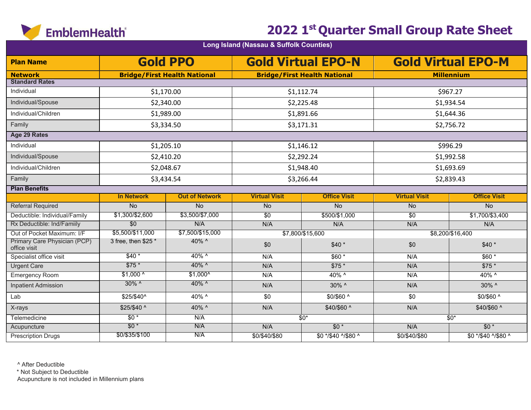

|                                              |                     |                                     | Long Island (Nassau & Suffolk Counties) |                                     |                      |                           |
|----------------------------------------------|---------------------|-------------------------------------|-----------------------------------------|-------------------------------------|----------------------|---------------------------|
| <b>Plan Name</b>                             |                     | <b>Gold PPO</b>                     |                                         | <b>Gold Virtual EPO-N</b>           |                      | <b>Gold Virtual EPO-M</b> |
| <b>Network</b>                               |                     | <b>Bridge/First Health National</b> |                                         | <b>Bridge/First Health National</b> |                      | <b>Millennium</b>         |
| <b>Standard Rates</b>                        |                     |                                     |                                         |                                     |                      |                           |
| Individual                                   |                     | \$1,170.00                          |                                         | \$1,112.74                          |                      | \$967.27                  |
| Individual/Spouse                            |                     | \$2,340.00                          | \$2,225.48                              |                                     |                      | \$1,934.54                |
| Individual/Children                          | \$1,989.00          |                                     | \$1,891.66                              |                                     |                      | \$1,644.36                |
| Family                                       |                     | \$3,334.50                          |                                         | \$3,171.31                          |                      | \$2,756.72                |
| Age 29 Rates                                 |                     |                                     |                                         |                                     |                      |                           |
| Individual                                   |                     | \$1,205.10                          |                                         | \$1,146.12                          |                      | \$996.29                  |
| Individual/Spouse                            |                     | \$2,410.20                          |                                         | \$2,292.24                          |                      | \$1,992.58                |
| Individual/Children                          |                     | \$2,048.67                          |                                         | \$1,948.40                          |                      | \$1,693.69                |
| Family                                       | \$3,434.54          |                                     |                                         | \$3,266.44                          |                      | \$2,839.43                |
| <b>Plan Benefits</b>                         |                     |                                     |                                         |                                     |                      |                           |
|                                              | <b>In Network</b>   | <b>Out of Network</b>               | <b>Virtual Visit</b>                    | <b>Office Visit</b>                 | <b>Virtual Visit</b> | <b>Office Visit</b>       |
| <b>Referral Required</b>                     | <b>No</b>           | <b>No</b>                           | No                                      | <b>No</b>                           | <b>No</b>            | <b>No</b>                 |
| Deductible: Individual/Family                | \$1,300/\$2,600     | \$3,500/\$7,000                     | $\overline{30}$                         | \$500/\$1,000                       | \$0                  | \$1,700/\$3,400           |
| Rx Deductible: Ind/Familly                   | \$0                 | N/A                                 | N/A                                     | N/A                                 | N/A                  | N/A                       |
| Out of Pocket Maximum: I/F                   | \$5,500/\$11,000    | \$7,500/\$15,000                    |                                         | \$7,800/\$15,600                    |                      | \$8,200/\$16,400          |
| Primary Care Physician (PCP)<br>office visit | 3 free, then \$25 * | 40% ^                               | \$0                                     | $$40*$                              | \$0                  | $$40*$                    |
| Specialist office visit                      | $$40*$              | $40\%$ ^                            | N/A                                     | $$60*$                              | N/A                  | $$60*$                    |
| <b>Urgent Care</b>                           | $$75*$              | 40% ^                               | N/A                                     | $$75*$                              | N/A                  | $$75*$                    |
| <b>Emergency Room</b>                        | $$1,000^{\circ}$    | $$1,000^{\circ}$                    | N/A                                     | 40% ^                               | N/A                  | 40% ^                     |
| <b>Inpatient Admission</b>                   | $30\%$ ^            | 40% ^                               | N/A                                     | 30% ^                               | N/A                  | 30% ^                     |
| Lab                                          | \$25/\$40^          | 40% ^                               | \$0                                     | \$0/\$60 ^                          | \$0                  | \$0/\$60 ^                |
| X-rays                                       | \$25/\$40 ^         | 40% ^                               | N/A                                     | \$40/\$60 ^                         | N/A                  | \$40/\$60 ^               |
| Telemedicine                                 | $$0*$               | N/A                                 |                                         | $$0^*$                              |                      | $$0*$                     |
| Acupuncture                                  | $$0*$               | N/A                                 | N/A                                     | $$0*$                               | N/A                  | $$0*$                     |
| <b>Prescription Drugs</b>                    | \$0/\$35/\$100      | N/A                                 | \$0/\$40/\$80                           | \$0 */\$40 ^/\$80 ^                 | \$0/\$40/\$80        | \$0 */\$40 ^/\$80 ^       |

^ After Deductible

\* Not Subject to Deductible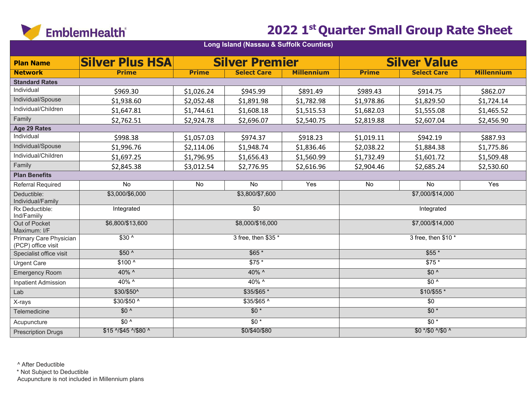

### **2022 1st Quarter Small Group Rate Sheet**

|                                              | Long Island (Nassau & Suffolk Counties) |              |                       |                   |                  |                     |                   |  |  |  |  |  |
|----------------------------------------------|-----------------------------------------|--------------|-----------------------|-------------------|------------------|---------------------|-------------------|--|--|--|--|--|
| <b>Plan Name</b>                             | <b>Silver Plus HSA</b>                  |              | <b>Silver Premier</b> |                   |                  | <b>Silver Value</b> |                   |  |  |  |  |  |
| <b>Network</b>                               | <b>Prime</b>                            | <b>Prime</b> | <b>Select Care</b>    | <b>Millennium</b> | <b>Prime</b>     | <b>Select Care</b>  | <b>Millennium</b> |  |  |  |  |  |
| <b>Standard Rates</b>                        |                                         |              |                       |                   |                  |                     |                   |  |  |  |  |  |
| Individual                                   | \$969.30                                | \$1,026.24   | \$945.99              | \$891.49          | \$989.43         | \$914.75            | \$862.07          |  |  |  |  |  |
| Individual/Spouse                            | \$1,938.60                              | \$2,052.48   | \$1,891.98            | \$1,782.98        | \$1,978.86       | \$1,829.50          | \$1,724.14        |  |  |  |  |  |
| Individual/Children                          | \$1,647.81                              | \$1,744.61   | \$1,608.18            | \$1,515.53        | \$1,682.03       | \$1,555.08          | \$1,465.52        |  |  |  |  |  |
| Family                                       | \$2,762.51                              | \$2,924.78   | \$2,696.07            | \$2,540.75        | \$2,819.88       | \$2,607.04          | \$2,456.90        |  |  |  |  |  |
| Age 29 Rates                                 |                                         |              |                       |                   |                  |                     |                   |  |  |  |  |  |
| Individual                                   | \$998.38                                | \$1,057.03   | \$974.37              | \$918.23          | \$1,019.11       | \$942.19            | \$887.93          |  |  |  |  |  |
| Individual/Spouse                            | \$1,996.76                              | \$2,114.06   | \$1,948.74            | \$1,836.46        | \$2,038.22       | \$1,884.38          | \$1,775.86        |  |  |  |  |  |
| Individual/Children                          | \$1,697.25                              | \$1,796.95   | \$1,656.43            | \$1,560.99        | \$1,732.49       | \$1,601.72          | \$1,509.48        |  |  |  |  |  |
| Family                                       | \$2,845.38                              | \$3,012.54   | \$2,776.95            | \$2,616.96        | \$2,904.46       | \$2,685.24          | \$2,530.60        |  |  |  |  |  |
| <b>Plan Benefits</b>                         |                                         |              |                       |                   |                  |                     |                   |  |  |  |  |  |
| Referral Required                            | No                                      | No           | No                    | Yes               | No               | No                  | Yes               |  |  |  |  |  |
| Deductible:<br>Individual/Family             | \$3,000/\$6,000                         |              | \$3,800/\$7,600       |                   |                  | \$7,000/\$14,000    |                   |  |  |  |  |  |
| Rx Deductible:<br>Ind/Familly                | Integrated                              |              | $\overline{50}$       |                   |                  | Integrated          |                   |  |  |  |  |  |
| Out of Pocket<br>Maximum: I/F                | \$6,800/\$13,600                        |              | \$8,000/\$16,000      |                   | \$7,000/\$14,000 |                     |                   |  |  |  |  |  |
| Primary Care Physician<br>(PCP) office visit | $$30^{\circ}$                           |              | 3 free, then \$35 *   |                   |                  | 3 free, then \$10 * |                   |  |  |  |  |  |
| Specialist office visit                      | $$50^{\circ}$                           |              | $$65*$                |                   |                  | $$55*$              |                   |  |  |  |  |  |
| <b>Urgent Care</b>                           | \$100 ^                                 |              | \$75 *                |                   |                  | $$75*$              |                   |  |  |  |  |  |
| <b>Emergency Room</b>                        | 40% ^                                   |              | 40% ^                 |                   |                  | $$0^{\prime}$       |                   |  |  |  |  |  |
| <b>Inpatient Admission</b>                   | 40% ^                                   |              | 40% ^                 |                   |                  | $$0^{\prime}$       |                   |  |  |  |  |  |
| Lab                                          | \$30/\$50^                              |              | \$35/\$65*            |                   |                  | $$10/$55*$          |                   |  |  |  |  |  |
| X-rays                                       | $$30/$50^{\circ}$                       |              | $$35/$ \$65 ^         |                   |                  | $\sqrt{60}$         |                   |  |  |  |  |  |
| Telemedicine                                 | $$0^{\prime}$                           |              | $$0*$                 |                   |                  | $$0*$               |                   |  |  |  |  |  |
| Acupuncture                                  | $$0^{\prime}$                           |              | $\overline{50*}$      |                   |                  | $\overline{50*}$    |                   |  |  |  |  |  |
| <b>Prescription Drugs</b>                    | \$15 ^/\$45 ^/\$80 ^                    |              | \$0/\$40/\$80         |                   |                  | \$0 */\$0 ^/\$0 ^   |                   |  |  |  |  |  |

^ After Deductible

\* Not Subject to Deductible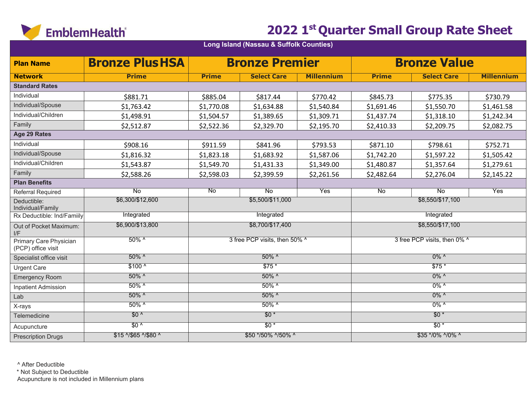

| <b>Plan Name</b>                             | <b>Bronze Plus HSA</b> |                    | <b>Bronze Premier</b>         |                   |                    | <b>Bronze Value</b>          |                   |  |
|----------------------------------------------|------------------------|--------------------|-------------------------------|-------------------|--------------------|------------------------------|-------------------|--|
| <b>Network</b>                               | <b>Prime</b>           | <b>Prime</b>       | <b>Select Care</b>            | <b>Millennium</b> | <b>Prime</b>       | <b>Select Care</b>           | <b>Millennium</b> |  |
| <b>Standard Rates</b>                        |                        |                    |                               |                   |                    |                              |                   |  |
| Individual                                   | \$881.71               | \$885.04           | \$817.44                      | \$770.42          | \$845.73           | \$775.35                     | \$730.79          |  |
| Individual/Spouse                            | \$1,763.42             | \$1,770.08         | \$1,634.88                    | \$1,540.84        | \$1,691.46         | \$1,550.70                   | \$1,461.58        |  |
| Individual/Children                          | \$1,498.91             | \$1,504.57         | \$1,389.65                    | \$1,309.71        | \$1,437.74         | \$1,318.10                   | \$1,242.34        |  |
| Family                                       | \$2,512.87             | \$2,522.36         | \$2,329.70                    | \$2,195.70        | \$2,410.33         | \$2,209.75                   | \$2,082.75        |  |
| Age 29 Rates                                 |                        |                    |                               |                   |                    |                              |                   |  |
| Individual                                   | \$908.16               | \$911.59           | \$841.96                      | \$793.53          | \$871.10           | \$798.61                     | \$752.71          |  |
| Individual/Spouse                            | \$1,816.32             | \$1,823.18         | \$1,683.92                    | \$1,587.06        | \$1,742.20         | \$1,597.22                   | \$1,505.42        |  |
| Individual/Children                          | \$1,543.87             | \$1,549.70         | \$1,431.33                    | \$1,349.00        | \$1,480.87         | \$1,357.64                   | \$1,279.61        |  |
| Family                                       | \$2,588.26             | \$2,598.03         | \$2,399.59                    | \$2,261.56        | \$2,482.64         | \$2,276.04                   | \$2,145.22        |  |
| <b>Plan Benefits</b>                         |                        |                    |                               |                   |                    |                              |                   |  |
| Referral Required                            | <b>No</b>              | $\overline{N_{0}}$ | $\overline{N_{0}}$            | <b>Yes</b>        | $\overline{N_{0}}$ | $\overline{N_{0}}$           | Yes               |  |
| Deductible:<br>Individual/Family             | \$6,300/\$12,600       |                    | \$5,500/\$11,000              |                   | \$8,550/\$17,100   |                              |                   |  |
| Rx Deductible: Ind/Familly                   | Integrated             |                    | Integrated                    |                   | Integrated         |                              |                   |  |
| Out of Pocket Maximum:<br>I/F                | \$6,900/\$13,800       |                    | \$8,700/\$17,400              |                   | \$8,550/\$17,100   |                              |                   |  |
| Primary Care Physician<br>(PCP) office visit | $50\%$ ^               |                    | 3 free PCP visits, then 50% ^ |                   |                    | 3 free PCP visits, then 0% ^ |                   |  |
| Specialist office visit                      | $50\%$ ^               |                    | $50\%$ ^                      |                   |                    | $0\%$ ^                      |                   |  |
| <b>Urgent Care</b>                           | $$100^{\circ}$         |                    | $$75*$                        |                   |                    | $$75*$                       |                   |  |
| <b>Emergency Room</b>                        | $50\%$ ^               |                    | $50\%$ ^                      |                   |                    | $0\%$ ^                      |                   |  |
| <b>Inpatient Admission</b>                   | $50\%$ ^               |                    | $50\%$ ^                      |                   |                    | $0\%$ ^                      |                   |  |
| Lab                                          | $50\%$ ^               | $50\%$ ^           |                               |                   |                    | $0\%$ ^                      |                   |  |
| X-rays                                       | $50\%$ ^               |                    | $50\%$ ^                      |                   |                    | $0\%$ ^                      |                   |  |
| Telemedicine                                 | $$0^{\circ}$           |                    | $$0*$                         |                   |                    | $$0*$                        |                   |  |
| Acupuncture                                  | $$0^{\prime}$          |                    | $$0*$                         |                   |                    | $$0*$                        |                   |  |
| <b>Prescription Drugs</b>                    | \$15 ^/\$65 ^/\$80 ^   |                    | \$50 */50% ^/50% ^            |                   |                    | \$35 */0% ^/0% ^             |                   |  |

**Long Island (Nassau & Suffolk Counties)**

^ After Deductible

\* Not Subject to Deductible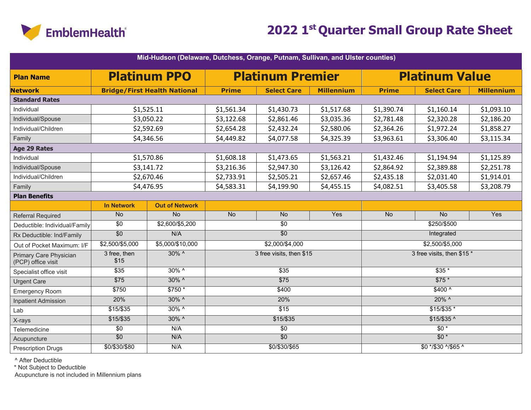

|                                              | Mid-Hudson (Delaware, Dutchess, Orange, Putnam, Sullivan, and Ulster counties) |                                     |                                        |                          |                   |                       |                            |                   |  |  |  |  |
|----------------------------------------------|--------------------------------------------------------------------------------|-------------------------------------|----------------------------------------|--------------------------|-------------------|-----------------------|----------------------------|-------------------|--|--|--|--|
| <b>Plan Name</b>                             |                                                                                | <b>Platinum PPO</b>                 |                                        | <b>Platinum Premier</b>  |                   | <b>Platinum Value</b> |                            |                   |  |  |  |  |
| <b>Network</b>                               |                                                                                | <b>Bridge/First Health National</b> | <b>Prime</b>                           | <b>Select Care</b>       | <b>Millennium</b> | <b>Prime</b>          | <b>Select Care</b>         | <b>Millennium</b> |  |  |  |  |
| <b>Standard Rates</b>                        |                                                                                |                                     |                                        |                          |                   |                       |                            |                   |  |  |  |  |
| Individual                                   |                                                                                | \$1,525.11                          | \$1,561.34                             | \$1,430.73               | \$1,517.68        | \$1,390.74            | \$1,160.14                 | \$1,093.10        |  |  |  |  |
| Individual/Spouse                            |                                                                                | \$3,050.22                          | \$3,122.68                             | \$2,861.46               | \$3,035.36        | \$2,781.48            | \$2,320.28                 | \$2,186.20        |  |  |  |  |
| Individual/Children                          |                                                                                | \$2,592.69                          | \$2,654.28                             | \$2,432.24               | \$2,580.06        | \$2,364.26            | \$1,972.24                 | \$1,858.27        |  |  |  |  |
| Family                                       |                                                                                | \$4,346.56                          | \$4,449.82                             | \$4,077.58               | \$4,325.39        | \$3,963.61            | \$3,306.40                 | \$3,115.34        |  |  |  |  |
| <b>Age 29 Rates</b>                          |                                                                                |                                     |                                        |                          |                   |                       |                            |                   |  |  |  |  |
| Individual                                   |                                                                                | \$1,570.86                          | \$1,608.18                             | \$1,473.65               | \$1,563.21        | \$1,432.46            | \$1,194.94                 | \$1,125.89        |  |  |  |  |
| Individual/Spouse                            |                                                                                | \$3,141.72                          | \$3,216.36                             | \$2,947.30<br>\$3,126.42 |                   |                       | \$2,389.88                 | \$2,251.78        |  |  |  |  |
| Individual/Children                          |                                                                                | \$2,670.46                          | \$2,733.91<br>\$2,505.21<br>\$2,657.46 |                          |                   | \$2,435.18            | \$2,031.40                 | \$1,914.01        |  |  |  |  |
| Family                                       |                                                                                | \$4,476.95                          | \$4,583.31<br>\$4,199.90<br>\$4,455.15 |                          |                   | \$4,082.51            | \$3,405.58                 | \$3,208.79        |  |  |  |  |
| <b>Plan Benefits</b>                         |                                                                                |                                     |                                        |                          |                   |                       |                            |                   |  |  |  |  |
|                                              | <b>In Network</b>                                                              | <b>Out of Network</b>               |                                        |                          |                   |                       |                            |                   |  |  |  |  |
| <b>Referral Required</b>                     | <b>No</b>                                                                      | $\overline{N}$                      | <b>No</b>                              | <b>No</b>                | Yes               | <b>No</b>             | <b>No</b>                  | Yes               |  |  |  |  |
| Deductible: Individual/Family                | $\overline{30}$                                                                | \$2,600/\$5,200                     |                                        | $\overline{30}$          |                   | \$250/\$500           |                            |                   |  |  |  |  |
| Rx Deductible: Ind/Family                    | $\overline{50}$                                                                | N/A                                 |                                        | $\overline{50}$          |                   | Integrated            |                            |                   |  |  |  |  |
| Out of Pocket Maximum: I/F                   | \$2,500/\$5,000                                                                | \$5,000/\$10,000                    |                                        | \$2,000/\$4,000          |                   |                       | $$2,500/\$5,000$           |                   |  |  |  |  |
| Primary Care Physician<br>(PCP) office visit | 3 free, then<br>\$15                                                           | $30\%$ ^                            |                                        | 3 free visits, then \$15 |                   |                       | 3 free visits, then \$15 * |                   |  |  |  |  |
| Specialist office visit                      | $\overline{$35}$                                                               | $30\%$ ^                            |                                        | $\overline{$35}$         |                   |                       | $$35*$                     |                   |  |  |  |  |
| <b>Urgent Care</b>                           | $\overline{$75}$                                                               | $30\%$ ^                            |                                        | $\overline{$75}$         |                   |                       | $$75*$                     |                   |  |  |  |  |
| <b>Emergency Room</b>                        | \$750                                                                          | $$750*$                             |                                        | \$400                    |                   |                       | $$400^{\circ}$             |                   |  |  |  |  |
| <b>Inpatient Admission</b>                   | 20%                                                                            | $30\%$ ^                            |                                        | 20%                      |                   |                       | $20\%$ ^                   |                   |  |  |  |  |
| Lab                                          | \$15/\$35                                                                      | $30\%$ ^                            |                                        | $\overline{$15}$         |                   |                       | $$15/$35*$                 |                   |  |  |  |  |
| X-rays                                       | $$15/$ \$35                                                                    | 30% ^                               |                                        | $$15/$ \$35              |                   |                       | $$15/$35$ <sup>^</sup>     |                   |  |  |  |  |
| Telemedicine                                 | $\overline{30}$                                                                | N/A                                 |                                        | $\overline{50}$          |                   |                       | $\overline{50*}$           |                   |  |  |  |  |
| Acupuncture                                  | $\overline{60}$                                                                | N/A                                 |                                        | $\overline{50}$          |                   |                       | $$0*$                      |                   |  |  |  |  |
| <b>Prescription Drugs</b>                    | \$0/\$30/\$80                                                                  | N/A                                 |                                        | \$0/\$30/\$65            |                   | \$0 */\$30 ^/\$65 ^   |                            |                   |  |  |  |  |

^ After Deductible

\* Not Subject to Deductible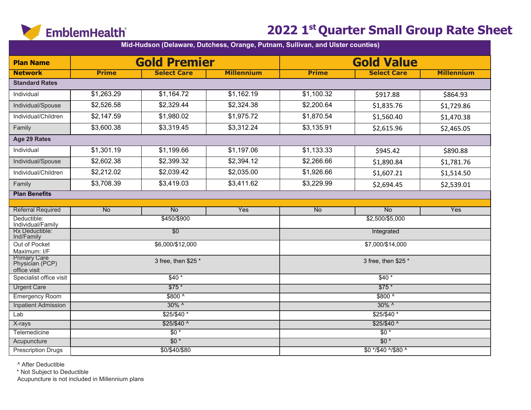

|                                                        |              |                     | Mid-Hudson (Delaware, Dutchess, Orange, Putnam, Sullivan, and Ulster counties) |                                        |                       |                   |  |
|--------------------------------------------------------|--------------|---------------------|--------------------------------------------------------------------------------|----------------------------------------|-----------------------|-------------------|--|
| <b>Plan Name</b>                                       |              | <b>Gold Premier</b> |                                                                                |                                        | <b>Gold Value</b>     |                   |  |
| <b>Network</b>                                         | <b>Prime</b> | <b>Select Care</b>  | <b>Millennium</b>                                                              | <b>Prime</b>                           | <b>Select Care</b>    | <b>Millennium</b> |  |
| <b>Standard Rates</b>                                  |              |                     |                                                                                |                                        |                       |                   |  |
| Individual                                             | \$1,263.29   | \$1,164.72          | \$1,162.19                                                                     | \$1,100.32                             | \$917.88              | \$864.93          |  |
| Individual/Spouse                                      | \$2,526.58   | \$2,329.44          | \$2,324.38                                                                     | \$2,200.64                             | \$1,835.76            | \$1,729.86        |  |
| Individual/Children                                    | \$2,147.59   | \$1,980.02          | \$1,975.72                                                                     | \$1,870.54<br>\$1,560.40<br>\$1,470.38 |                       |                   |  |
| Family                                                 | \$3,600.38   | \$3,319.45          | \$3,312.24                                                                     | \$3,135.91                             | \$2,615.96            | \$2,465.05        |  |
| Age 29 Rates                                           |              |                     |                                                                                |                                        |                       |                   |  |
| Individual                                             | \$1,301.19   | \$1,199.66          | \$1,197.06                                                                     | \$1,133.33                             | \$945.42              | \$890.88          |  |
| Individual/Spouse                                      | \$2,602.38   | \$2,399.32          | \$2,394.12                                                                     | \$2,266.66                             | \$1,890.84            | \$1,781.76        |  |
| Individual/Children                                    | \$2,212.02   | \$2,039.42          | \$2,035.00                                                                     | \$1,926.66                             | \$1,607.21            | \$1,514.50        |  |
| Family                                                 | \$3,708.39   | \$3,419.03          | \$3,411.62                                                                     | \$3,229.99                             | \$2,694.45            | \$2,539.01        |  |
| <b>Plan Benefits</b>                                   |              |                     |                                                                                |                                        |                       |                   |  |
|                                                        |              |                     |                                                                                |                                        |                       |                   |  |
| <b>Referral Required</b><br>Deductible:                | No           | No<br>\$450/\$900   | Yes                                                                            | No                                     | No<br>\$2,500/\$5,000 | Yes               |  |
| Individual/Family                                      |              |                     |                                                                                |                                        |                       |                   |  |
| Rx Deductible:<br>Ind/Family                           |              | $\overline{50}$     |                                                                                |                                        | Integrated            |                   |  |
| Out of Pocket<br>Maximum: I/F                          |              | \$6,000/\$12,000    |                                                                                | \$7,000/\$14,000                       |                       |                   |  |
| <b>Primary Care</b><br>Physician (PCP)<br>office visit |              | 3 free, then \$25 * |                                                                                |                                        | 3 free, then \$25 *   |                   |  |
| Specialist office visit                                |              | $$40*$              |                                                                                |                                        | $$40*$                |                   |  |
| <b>Urgent Care</b>                                     |              | $$75*$              |                                                                                |                                        | $$75*$                |                   |  |
| <b>Emergency Room</b>                                  |              | $$800^{\circ}$      |                                                                                |                                        | $$800^{\circ}$        |                   |  |
| <b>Inpatient Admission</b>                             |              | 30% ^               |                                                                                |                                        | $30\%$ ^              |                   |  |
| Lab                                                    |              | $$25/$40*$          |                                                                                |                                        | \$25/\$40 *           |                   |  |
| X-rays                                                 |              | $$25/$40^{\circ}$   |                                                                                |                                        | $$25/$40$ ^           |                   |  |
| Telemedicine                                           |              | $\overline{50*}$    |                                                                                |                                        | $\overline{50*}$      |                   |  |
| Acupuncture                                            |              | $$0*$               |                                                                                |                                        | $$0*$                 |                   |  |
| <b>Prescription Drugs</b>                              |              | \$0/\$40/\$80       |                                                                                |                                        | \$0 */\$40 ^/\$80 ^   |                   |  |

^ After Deductible

\* Not Subject to Deductible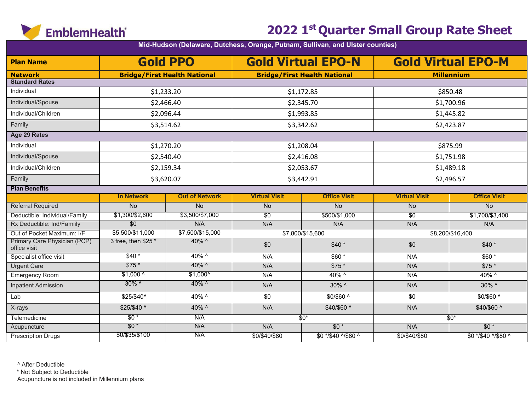

|                                              |                     |                                     |                      | Mid-Hudson (Delaware, Dutchess, Orange, Putnam, Sullivan, and Ulster counties) |                      |                           |  |
|----------------------------------------------|---------------------|-------------------------------------|----------------------|--------------------------------------------------------------------------------|----------------------|---------------------------|--|
| <b>Plan Name</b>                             |                     | <b>Gold PPO</b>                     |                      | <b>Gold Virtual EPO-N</b>                                                      |                      | <b>Gold Virtual EPO-M</b> |  |
| <b>Network</b>                               |                     | <b>Bridge/First Health National</b> |                      | <b>Bridge/First Health National</b>                                            |                      | <b>Millennium</b>         |  |
| <b>Standard Rates</b>                        |                     |                                     |                      |                                                                                |                      |                           |  |
| Individual                                   |                     | \$1,233.20                          |                      | \$1,172.85                                                                     |                      | \$850.48                  |  |
| Individual/Spouse                            |                     | \$2,466.40                          |                      | \$2,345.70                                                                     |                      | \$1,700.96                |  |
| Individual/Children                          | \$2,096.44          |                                     |                      | \$1,993.85                                                                     |                      | \$1,445.82                |  |
| Family                                       | \$3,514.62          |                                     |                      | \$3,342.62                                                                     |                      | \$2,423.87                |  |
| <b>Age 29 Rates</b>                          |                     |                                     |                      |                                                                                |                      |                           |  |
| Individual                                   |                     | \$1,270.20                          |                      | \$1,208.04                                                                     |                      | \$875.99                  |  |
| Individual/Spouse                            |                     | \$2,540.40                          |                      | \$2,416.08                                                                     |                      | \$1,751.98                |  |
| Individual/Children                          | \$2,159.34          |                                     |                      | \$2,053.67                                                                     | \$1,489.18           |                           |  |
| Family                                       | \$3,620.07          |                                     |                      | \$3,442.91                                                                     | \$2,496.57           |                           |  |
| <b>Plan Benefits</b>                         |                     |                                     |                      |                                                                                |                      |                           |  |
|                                              | <b>In Network</b>   | <b>Out of Network</b>               | <b>Virtual Visit</b> | <b>Office Visit</b>                                                            | <b>Virtual Visit</b> | <b>Office Visit</b>       |  |
| <b>Referral Required</b>                     | <b>No</b>           | <b>No</b>                           | No                   | <b>No</b>                                                                      | No                   | <b>No</b>                 |  |
| Deductible: Individual/Family                | \$1,300/\$2,600     | \$3,500/\$7,000                     | \$0                  | \$500/\$1,000                                                                  | \$0                  | \$1,700/\$3,400           |  |
| Rx Deductible: Ind/Familly                   | $\overline{30}$     | N/A                                 | N/A                  | N/A                                                                            | N/A                  | N/A                       |  |
| Out of Pocket Maximum: I/F                   | \$5,500/\$11,000    | \$7,500/\$15,000                    |                      | \$7,800/\$15,600                                                               |                      | \$8,200/\$16,400          |  |
| Primary Care Physician (PCP)<br>office visit | 3 free, then \$25 * | 40% ^                               | \$0                  | $$40*$                                                                         | \$0                  | $$40*$                    |  |
| Specialist office visit                      | $$40*$              | $40\%$ ^                            | N/A                  | $$60*$                                                                         | N/A                  | $$60*$                    |  |
| <b>Urgent Care</b>                           | $$75*$              | 40% ^                               | N/A                  | $$75*$                                                                         | N/A                  | $$75*$                    |  |
| Emergency Room                               | $$1,000^{\circ}$    | $$1,000^{\circ}$                    | N/A                  | 40% ^                                                                          | N/A                  | 40% ^                     |  |
| <b>Inpatient Admission</b>                   | $30\%$ ^            | 40% ^                               | N/A                  | 30% ^                                                                          | N/A                  | 30% ^                     |  |
| Lab                                          | \$25/\$40^          | 40% ^                               | \$0                  | \$0/\$60 ^                                                                     | \$0                  | \$0/\$60 ^                |  |
| X-rays                                       | \$25/\$40 ^         | 40% ^                               | N/A                  | \$40/\$60 ^                                                                    | N/A                  | \$40/\$60 ^               |  |
| Telemedicine                                 | $$0*$               | N/A                                 |                      | $$0*$                                                                          |                      | $$0*$                     |  |
| Acupuncture                                  | $$0*$               | N/A                                 | N/A                  | $$0*$                                                                          | N/A                  | $$0*$                     |  |
| <b>Prescription Drugs</b>                    | \$0/\$35/\$100      | N/A                                 | \$0/\$40/\$80        | \$0 */\$40 ^/\$80 ^                                                            | \$0/\$40/\$80        | \$0 */\$40 ^/\$80 ^       |  |

^ After Deductible

\* Not Subject to Deductible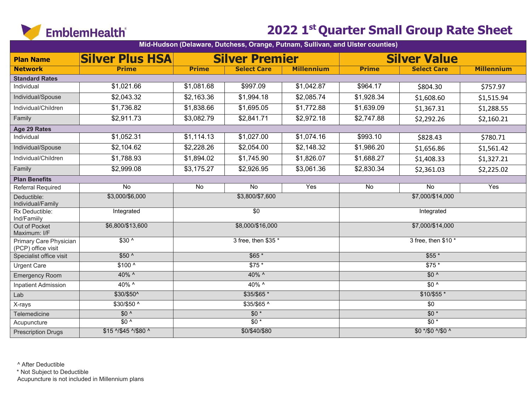

| Mid-Hudson (Delaware, Dutchess, Orange, Putnam, Sullivan, and Ulster counties) |                        |                 |                       |                   |                      |                     |                   |  |  |  |
|--------------------------------------------------------------------------------|------------------------|-----------------|-----------------------|-------------------|----------------------|---------------------|-------------------|--|--|--|
| <b>Plan Name</b>                                                               | <b>Silver Plus HSA</b> |                 | <b>Silver Premier</b> |                   |                      | <b>Silver Value</b> |                   |  |  |  |
| <b>Network</b>                                                                 | <b>Prime</b>           | <b>Prime</b>    | <b>Select Care</b>    | <b>Millennium</b> | <b>Prime</b>         | <b>Select Care</b>  | <b>Millennium</b> |  |  |  |
| <b>Standard Rates</b>                                                          |                        |                 |                       |                   |                      |                     |                   |  |  |  |
| Individual                                                                     | \$1,021.66             | \$1,081.68      | \$997.09              | \$1,042.87        | \$964.17             | \$804.30            | \$757.97          |  |  |  |
| Individual/Spouse                                                              | \$2,043.32             | \$2,163.36      | \$1,994.18            | \$2,085.74        | \$1,928.34           | \$1,608.60          | \$1,515.94        |  |  |  |
| Individual/Children                                                            | \$1,736.82             | \$1,838.66      | \$1,695.05            | \$1,772.88        | \$1,639.09           | \$1,367.31          | \$1,288.55        |  |  |  |
| Family                                                                         | \$2,911.73             | \$3,082.79      | \$2,841.71            | \$2,972.18        | \$2,747.88           | \$2,292.26          | \$2,160.21        |  |  |  |
| Age 29 Rates                                                                   |                        |                 |                       |                   |                      |                     |                   |  |  |  |
| Individual                                                                     | \$1,052.31             | \$1,114.13      | \$1,027.00            | \$1,074.16        | \$993.10             | \$828.43            | \$780.71          |  |  |  |
| Individual/Spouse                                                              | \$2,104.62             | \$2,228.26      | \$2,054.00            | \$2,148.32        | \$1,986.20           | \$1,656.86          | \$1,561.42        |  |  |  |
| Individual/Children                                                            | \$1,788.93             | \$1,894.02      | \$1,745.90            | \$1,826.07        | \$1,688.27           | \$1,408.33          | \$1,327.21        |  |  |  |
| Family                                                                         | \$2,999.08             | \$3,175.27      | \$2,926.95            | \$3,061.36        | \$2,830.34           | \$2,361.03          | \$2,225.02        |  |  |  |
| <b>Plan Benefits</b>                                                           |                        |                 |                       |                   |                      |                     |                   |  |  |  |
| Referral Required                                                              | $\overline{N}$         | $\overline{No}$ | $\overline{No}$       | Yes               | $\overline{N}$       | $\overline{No}$     | Yes               |  |  |  |
| Deductible:<br>Individual/Family                                               | \$3,000/\$6,000        |                 | \$3,800/\$7,600       |                   |                      | \$7,000/\$14,000    |                   |  |  |  |
| Rx Deductible:<br>Ind/Familly                                                  | Integrated             |                 | $\sqrt{50}$           |                   | Integrated           |                     |                   |  |  |  |
| Out of Pocket<br>Maximum: I/F                                                  | \$6,800/\$13,600       |                 | \$8,000/\$16,000      |                   | \$7,000/\$14,000     |                     |                   |  |  |  |
| Primary Care Physician<br>(PCP) office visit                                   | $$30^{\circ}$          |                 | 3 free, then \$35 *   |                   | 3 free, then $$10^*$ |                     |                   |  |  |  |
| Specialist office visit                                                        | $$50^{\circ}$          |                 | $$65*$                |                   | $$55*$               |                     |                   |  |  |  |
| Urgent Care                                                                    | $$100^{\circ}$         |                 | $$75*$                |                   |                      | $$75*$              |                   |  |  |  |
| <b>Emergency Room</b>                                                          | 40% ^                  |                 | 40% ^                 |                   |                      | $$0^{\circ}$        |                   |  |  |  |
| <b>Inpatient Admission</b>                                                     | $40\%$ ^               |                 | $40\%$ ^              |                   |                      | $\overline{30}$ ^   |                   |  |  |  |
| Lab                                                                            | \$30/\$50^             |                 | $$35/\$65$ *          |                   |                      | $$10/$55*$          |                   |  |  |  |
| X-rays                                                                         | $$30/$50$ ^            |                 | \$35/\$65 ^           |                   |                      | $\overline{50}$     |                   |  |  |  |
| Telemedicine                                                                   | $$0^{\circ}$           |                 | $$0*$                 |                   |                      | $$0*$               |                   |  |  |  |
| Acupuncture                                                                    | $$0^{\prime}$          |                 | $$0*$                 |                   |                      | $\overline{50*}$    |                   |  |  |  |
| <b>Prescription Drugs</b>                                                      | \$15 ^/\$45 ^/\$80 ^   |                 | \$0/\$40/\$80         |                   |                      | \$0 */\$0 ^/\$0 ^   |                   |  |  |  |

^ After Deductible

\* Not Subject to Deductible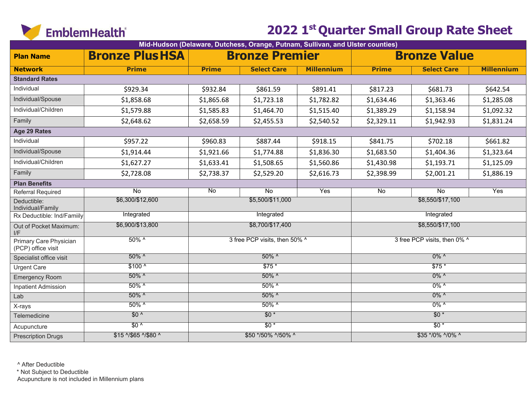

| Mid-Hudson (Delaware, Dutchess, Orange, Putnam, Sullivan, and Ulster counties) |                        |                    |                               |                   |                              |                     |                   |  |  |  |
|--------------------------------------------------------------------------------|------------------------|--------------------|-------------------------------|-------------------|------------------------------|---------------------|-------------------|--|--|--|
| <b>Plan Name</b>                                                               | <b>Bronze Plus HSA</b> |                    | <b>Bronze Premier</b>         |                   |                              | <b>Bronze Value</b> |                   |  |  |  |
| <b>Network</b>                                                                 | <b>Prime</b>           | <b>Prime</b>       | <b>Select Care</b>            | <b>Millennium</b> | <b>Prime</b>                 | <b>Select Care</b>  | <b>Millennium</b> |  |  |  |
| <b>Standard Rates</b>                                                          |                        |                    |                               |                   |                              |                     |                   |  |  |  |
| Individual                                                                     | \$929.34               | \$932.84           | \$861.59                      | \$891.41          | \$817.23                     | \$681.73            | \$642.54          |  |  |  |
| Individual/Spouse                                                              | \$1,858.68             | \$1,865.68         | \$1,723.18                    | \$1,782.82        | \$1,634.46                   | \$1,363.46          | \$1,285.08        |  |  |  |
| Individual/Children                                                            | \$1,579.88             | \$1,585.83         | \$1,464.70                    | \$1,515.40        | \$1,389.29                   | \$1,158.94          | \$1,092.32        |  |  |  |
| Family                                                                         | \$2,648.62             | \$2,658.59         | \$2,455.53                    | \$2,540.52        | \$2,329.11                   | \$1,942.93          | \$1,831.24        |  |  |  |
| Age 29 Rates                                                                   |                        |                    |                               |                   |                              |                     |                   |  |  |  |
| Individual                                                                     | \$957.22               | \$960.83           | \$887.44                      | \$918.15          | \$841.75                     | \$702.18            | \$661.82          |  |  |  |
| Individual/Spouse                                                              | \$1,914.44             | \$1,921.66         | \$1,774.88                    | \$1,836.30        | \$1,683.50                   | \$1,404.36          | \$1,323.64        |  |  |  |
| Individual/Children                                                            | \$1,627.27             | \$1,633.41         | \$1,508.65                    | \$1,560.86        | \$1,430.98                   | \$1,193.71          | \$1,125.09        |  |  |  |
| Family                                                                         | \$2,728.08             | \$2,738.37         | \$2,529.20                    | \$2,616.73        | \$2,398.99                   | \$2,001.21          | \$1,886.19        |  |  |  |
| <b>Plan Benefits</b>                                                           |                        |                    |                               |                   |                              |                     |                   |  |  |  |
| <b>Referral Required</b>                                                       | $\overline{N_{0}}$     | $\overline{N_{0}}$ | No                            | Yes               | $\overline{N}$               | $\overline{N_{0}}$  | Yes               |  |  |  |
| Deductible:<br>Individual/Family                                               | \$6,300/\$12,600       |                    | \$5,500/\$11,000              |                   |                              | \$8,550/\$17,100    |                   |  |  |  |
| Rx Deductible: Ind/Familly                                                     | Integrated             |                    | Integrated                    |                   |                              | Integrated          |                   |  |  |  |
| Out of Pocket Maximum:<br>I/F                                                  | \$6,900/\$13,800       |                    | \$8,700/\$17,400              |                   | \$8,550/\$17,100             |                     |                   |  |  |  |
| Primary Care Physician<br>(PCP) office visit                                   | $50\%$ ^               |                    | 3 free PCP visits, then 50% ^ |                   | 3 free PCP visits, then 0% ^ |                     |                   |  |  |  |
| Specialist office visit                                                        | $50\%$ ^               |                    | $50\%$ ^                      |                   | $0\%$ ^                      |                     |                   |  |  |  |
| <b>Urgent Care</b>                                                             | $$100^{\circ}$         |                    | $$75*$                        |                   | $$75*$                       |                     |                   |  |  |  |
| <b>Emergency Room</b>                                                          | $50\%$ ^               |                    | $50\%$ ^                      |                   | $0\%$ ^                      |                     |                   |  |  |  |
| <b>Inpatient Admission</b>                                                     | $50\%$ ^               |                    | $50\%$ ^                      |                   | $0\%$ ^                      |                     |                   |  |  |  |
| Lab                                                                            | $50\%$ ^               |                    | $50\%$ ^                      |                   |                              | $0\%$ ^             |                   |  |  |  |
| X-rays                                                                         | $50\%$ ^               |                    | $50\%$ ^                      |                   |                              | $0\%$ ^             |                   |  |  |  |
| Telemedicine                                                                   | $$0^{\prime}$          |                    | $$0*$                         |                   |                              | $$0*$               |                   |  |  |  |
| Acupuncture                                                                    | $$0^{\prime}$          |                    | $$0*$                         |                   |                              | $$0*$               |                   |  |  |  |
| <b>Prescription Drugs</b>                                                      | \$15 ^/\$65 ^/\$80 ^   |                    | \$50 */50% ^/50% ^            |                   |                              | \$35 */0% ^/0% ^    |                   |  |  |  |

^ After Deductible

\* Not Subject to Deductible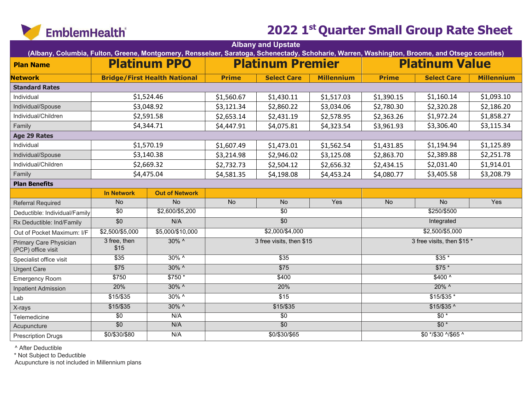

| (Albany, Columbia, Fulton, Greene, Montgomery, Rensselaer, Saratoga, Schenectady, Schoharie, Warren, Washington, Broome, and Otsego counties) |                      |                                     |              | <b>Albany and Upstate</b> |                   |                            |                       |                   |  |
|-----------------------------------------------------------------------------------------------------------------------------------------------|----------------------|-------------------------------------|--------------|---------------------------|-------------------|----------------------------|-----------------------|-------------------|--|
| <b>Plan Name</b>                                                                                                                              |                      | <b>Platinum PPO</b>                 |              | <b>Platinum Premier</b>   |                   |                            | <b>Platinum Value</b> |                   |  |
| <b>Network</b>                                                                                                                                |                      | <b>Bridge/First Health National</b> | <b>Prime</b> | <b>Select Care</b>        | <b>Millennium</b> | <b>Prime</b>               | <b>Select Care</b>    | <b>Millennium</b> |  |
| <b>Standard Rates</b>                                                                                                                         |                      |                                     |              |                           |                   |                            |                       |                   |  |
| Individual                                                                                                                                    |                      | \$1,524.46                          | \$1,560.67   | \$1,430.11                | \$1,517.03        | \$1,390.15                 | \$1,160.14            | \$1,093.10        |  |
| Individual/Spouse                                                                                                                             |                      | \$3,048.92                          | \$3,121.34   | \$2,860.22                | \$3,034.06        | \$2,780.30                 | \$2,320.28            | \$2,186.20        |  |
| Individual/Children                                                                                                                           |                      | \$2,591.58                          | \$2,653.14   | \$2,431.19                | \$2,578.95        | \$2,363.26                 | \$1,972.24            | \$1,858.27        |  |
| Family                                                                                                                                        |                      | \$4,344.71                          | \$4,447.91   | \$4,075.81                | \$4,323.54        | \$3,961.93                 | \$3,306.40            | \$3,115.34        |  |
| <b>Age 29 Rates</b>                                                                                                                           |                      |                                     |              |                           |                   |                            |                       |                   |  |
| Individual                                                                                                                                    |                      | \$1,570.19                          | \$1,607.49   | \$1,473.01                | \$1,562.54        | \$1,431.85                 | \$1,194.94            | \$1,125.89        |  |
| Individual/Spouse                                                                                                                             |                      | \$3,140.38                          | \$3,214.98   | \$2,946.02                | \$3,125.08        | \$2,863.70                 | \$2,389.88            | \$2,251.78        |  |
| Individual/Children                                                                                                                           |                      | \$2,669.32                          | \$2,732.73   | \$2,504.12                | \$2,656.32        | \$2,434.15                 | \$2,031.40            | \$1,914.01        |  |
| Family                                                                                                                                        |                      | \$4,475.04                          | \$4,581.35   | \$4,198.08                | \$4,453.24        | \$4,080.77                 | \$3,405.58            | \$3,208.79        |  |
| <b>Plan Benefits</b>                                                                                                                          |                      |                                     |              |                           |                   |                            |                       |                   |  |
|                                                                                                                                               | <b>In Network</b>    | <b>Out of Network</b>               |              |                           |                   |                            |                       |                   |  |
| Referral Required                                                                                                                             | No                   | $\overline{No}$                     | No           | No                        | Yes               | No                         | No                    | Yes               |  |
| Deductible: Individual/Family                                                                                                                 | $\overline{30}$      | \$2,600/\$5,200                     |              | $\overline{30}$           |                   |                            | \$250/\$500           |                   |  |
| Rx Deductible: Ind/Family                                                                                                                     | $\overline{50}$      | N/A                                 |              | $\overline{50}$           |                   |                            | Integrated            |                   |  |
| Out of Pocket Maximum: I/F                                                                                                                    | \$2,500/\$5,000      | \$5,000/\$10,000                    |              | \$2,000/\$4,000           |                   | $$2,500/\$5,000$           |                       |                   |  |
| Primary Care Physician<br>(PCP) office visit                                                                                                  | 3 free, then<br>\$15 | $30\%$ ^                            |              | 3 free visits, then \$15  |                   | 3 free visits, then \$15 * |                       |                   |  |
| Specialist office visit                                                                                                                       | \$35                 | $30\%$ ^                            |              | $\overline{$35}$          |                   | $$35*$                     |                       |                   |  |
| <b>Urgent Care</b>                                                                                                                            | \$75                 | $30\%$ ^                            |              | $\overline{$75}$          |                   |                            | $$75*$                |                   |  |
| <b>Emergency Room</b>                                                                                                                         | \$750                | $$750*$                             |              | \$400                     |                   |                            | $$400^{\circ}$        |                   |  |
| <b>Inpatient Admission</b>                                                                                                                    | 20%                  | $30\%$ ^                            |              | 20%                       |                   |                            | 20% ^                 |                   |  |
| Lab                                                                                                                                           | $$15/$ \$35          | $30\%$ ^                            |              | $\overline{$15}$          |                   |                            | $$15/$35*$            |                   |  |
| X-rays                                                                                                                                        | $$15/$ \$35          | $30\%$ ^                            |              | $$15/$ \$35               |                   |                            | $$15/$ \$35 ^         |                   |  |
| Telemedicine                                                                                                                                  | $\overline{30}$      | N/A                                 |              | $\overline{30}$           |                   |                            | $\overline{50*}$      |                   |  |
| Acupuncture                                                                                                                                   | $\overline{50}$      | N/A                                 |              | $\overline{60}$           |                   |                            | $$0*$                 |                   |  |
| <b>Prescription Drugs</b>                                                                                                                     | \$0/\$30/\$80        | N/A                                 |              | \$0/\$30/\$65             |                   |                            | \$0 */\$30 ^/\$65 ^   |                   |  |

^ After Deductible

\* Not Subject to Deductible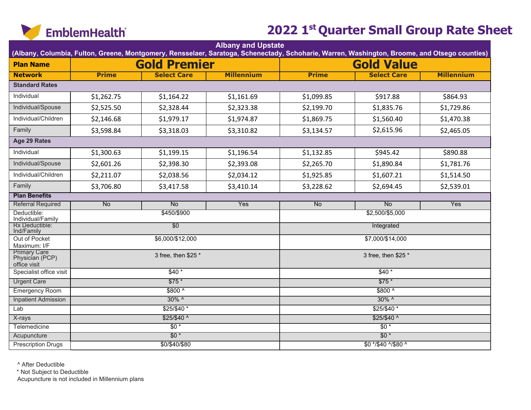

| <b>Albany and Upstate</b><br>(Albany, Columbia, Fulton, Greene, Montgomery, Rensselaer, Saratoga, Schenectady, Schoharie, Warren, Washington, Broome, and Otsego counties) |                |                     |                   |                     |                     |            |  |  |  |
|----------------------------------------------------------------------------------------------------------------------------------------------------------------------------|----------------|---------------------|-------------------|---------------------|---------------------|------------|--|--|--|
| <b>Plan Name</b>                                                                                                                                                           |                | <b>Gold Premier</b> |                   |                     | <b>Gold Value</b>   |            |  |  |  |
| <b>Network</b>                                                                                                                                                             | <b>Prime</b>   | <b>Select Care</b>  | <b>Millennium</b> | <b>Prime</b>        | <b>Millennium</b>   |            |  |  |  |
| <b>Standard Rates</b>                                                                                                                                                      |                |                     |                   |                     | <b>Select Care</b>  |            |  |  |  |
|                                                                                                                                                                            |                |                     |                   |                     |                     |            |  |  |  |
| Individual                                                                                                                                                                 | \$1,262.75     | \$1,164.22          | \$1,161.69        | \$1,099.85          | \$917.88            | \$864.93   |  |  |  |
| Individual/Spouse                                                                                                                                                          | \$2,525.50     | \$2,328.44          | \$2,323.38        | \$2,199.70          | \$1,835.76          | \$1,729.86 |  |  |  |
| Individual/Children                                                                                                                                                        | \$2,146.68     | \$1,979.17          | \$1,974.87        | \$1,869.75          | \$1,560.40          | \$1,470.38 |  |  |  |
| Family                                                                                                                                                                     | \$3,598.84     | \$3,318.03          | \$3,310.82        | \$3,134.57          | \$2,615.96          | \$2,465.05 |  |  |  |
| Age 29 Rates                                                                                                                                                               |                |                     |                   |                     |                     |            |  |  |  |
| Individual                                                                                                                                                                 | \$1,300.63     | \$1,199.15          | \$1,196.54        | \$1,132.85          | \$945.42            | \$890.88   |  |  |  |
| Individual/Spouse                                                                                                                                                          | \$2,601.26     | \$2,398.30          | \$2,393.08        | \$2,265.70          | \$1,890.84          | \$1,781.76 |  |  |  |
| Individual/Children                                                                                                                                                        | \$2,211.07     | \$2,038.56          | \$2,034.12        | \$1,925.85          | \$1,607.21          | \$1,514.50 |  |  |  |
| Family                                                                                                                                                                     | \$3,706.80     | \$3,417.58          | \$3,410.14        | \$3,228.62          | \$2,694.45          | \$2,539.01 |  |  |  |
| <b>Plan Benefits</b>                                                                                                                                                       |                |                     |                   |                     |                     |            |  |  |  |
| <b>Referral Required</b>                                                                                                                                                   | N <sub>o</sub> | <b>No</b>           | Yes               | No                  | No                  | <b>Yes</b> |  |  |  |
| Deductible:<br>Individual/Family                                                                                                                                           |                | \$450/\$900         |                   |                     | \$2,500/\$5,000     |            |  |  |  |
| Rx Deductible:<br>Ind/Family                                                                                                                                               |                | $\overline{50}$     |                   |                     | Integrated          |            |  |  |  |
| Out of Pocket<br>Maximum: I/F                                                                                                                                              |                | \$6,000/\$12,000    |                   | \$7,000/\$14,000    |                     |            |  |  |  |
| <b>Primary Care</b><br>Physician (PCP)<br>office visit                                                                                                                     |                | 3 free, then \$25 * |                   | 3 free, then \$25 * |                     |            |  |  |  |
| Specialist office visit                                                                                                                                                    |                | $$40*$              |                   | $$40*$              |                     |            |  |  |  |
| <b>Urgent Care</b>                                                                                                                                                         |                | $$75*$              |                   | $$75*$              |                     |            |  |  |  |
| <b>Emergency Room</b>                                                                                                                                                      |                | $$800^{\circ}$      |                   | $$800^{\circ}$      |                     |            |  |  |  |
| <b>Inpatient Admission</b>                                                                                                                                                 |                | $30\%$ ^            |                   | $30\%$ ^            |                     |            |  |  |  |
| Lab                                                                                                                                                                        |                | $$25/$40*$          |                   | $$25/$40*$          |                     |            |  |  |  |
| X-rays                                                                                                                                                                     |                | $$25/$40^{\circ}$   |                   | $$25/$40$ ^         |                     |            |  |  |  |
| Telemedicine                                                                                                                                                               |                | $\overline{50*}$    |                   |                     | $\overline{50*}$    |            |  |  |  |
| Acupuncture                                                                                                                                                                |                | $$0*$               |                   |                     | $$0*$               |            |  |  |  |
| <b>Prescription Drugs</b>                                                                                                                                                  |                | \$0/\$40/\$80       |                   |                     | \$0 */\$40 ^/\$80 ^ |            |  |  |  |

^ After Deductible

\* Not Subject to Deductible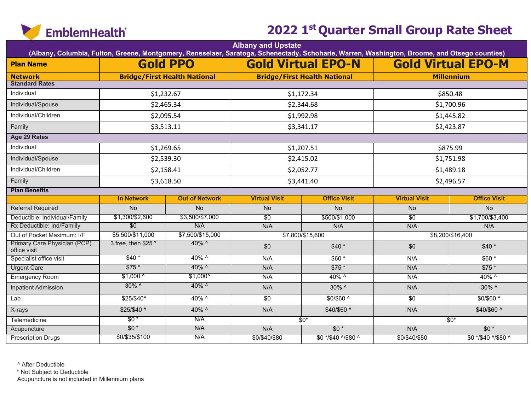

| <b>Albany and Upstate</b><br>(Albany, Columbia, Fulton, Greene, Montgomery, Rensselaer, Saratoga, Schenectady, Schoharie, Warren, Washington, Broome, and Otsego counties) |                     |                                     |                      |                                     |                           |                     |  |  |  |  |
|----------------------------------------------------------------------------------------------------------------------------------------------------------------------------|---------------------|-------------------------------------|----------------------|-------------------------------------|---------------------------|---------------------|--|--|--|--|
| <b>Plan Name</b>                                                                                                                                                           |                     | <b>Gold PPO</b>                     |                      | <b>Gold Virtual EPO-N</b>           | <b>Gold Virtual EPO-M</b> |                     |  |  |  |  |
| <b>Network</b>                                                                                                                                                             |                     | <b>Bridge/First Health National</b> |                      | <b>Bridge/First Health National</b> |                           | <b>Millennium</b>   |  |  |  |  |
| <b>Standard Rates</b>                                                                                                                                                      |                     |                                     |                      |                                     |                           |                     |  |  |  |  |
| Individual                                                                                                                                                                 | \$1,232.67          |                                     |                      | \$1,172.34                          | \$850.48                  |                     |  |  |  |  |
| Individual/Spouse                                                                                                                                                          | \$2,465.34          |                                     |                      | \$2,344.68                          |                           | \$1,700.96          |  |  |  |  |
| Individual/Children                                                                                                                                                        | \$2,095.54          |                                     |                      | \$1,992.98                          |                           | \$1,445.82          |  |  |  |  |
| Family                                                                                                                                                                     | \$3,513.11          |                                     |                      | \$3,341.17                          |                           | \$2,423.87          |  |  |  |  |
| Age 29 Rates                                                                                                                                                               |                     |                                     |                      |                                     |                           |                     |  |  |  |  |
| Individual                                                                                                                                                                 | \$1,269.65          |                                     |                      | \$1,207.51                          |                           | \$875.99            |  |  |  |  |
| Individual/Spouse                                                                                                                                                          | \$2,539.30          |                                     |                      | \$2,415.02                          |                           | \$1,751.98          |  |  |  |  |
| Individual/Children                                                                                                                                                        | \$2,158.41          |                                     | \$2,052.77           |                                     | \$1,489.18                |                     |  |  |  |  |
| Family                                                                                                                                                                     | \$3,618.50          |                                     |                      | \$3,441.40                          |                           | \$2,496.57          |  |  |  |  |
| <b>Plan Benefits</b>                                                                                                                                                       |                     |                                     |                      |                                     |                           |                     |  |  |  |  |
|                                                                                                                                                                            | <b>In Network</b>   | <b>Out of Network</b>               | <b>Virtual Visit</b> | <b>Office Visit</b>                 | <b>Virtual Visit</b>      | <b>Office Visit</b> |  |  |  |  |
| <b>Referral Required</b>                                                                                                                                                   | $\overline{No}$     | <b>No</b>                           | No                   | $\overline{No}$                     | <b>No</b>                 | $\overline{No}$     |  |  |  |  |
| Deductible: Individual/Family                                                                                                                                              | \$1,300/\$2,600     | \$3,500/\$7,000                     | $\overline{30}$      | \$500/\$1,000                       | \$0                       | \$1,700/\$3,400     |  |  |  |  |
| Rx Deductible: Ind/Familly                                                                                                                                                 | $\overline{50}$     | N/A                                 | N/A                  | N/A                                 | N/A                       | N/A                 |  |  |  |  |
| Out of Pocket Maximum: I/F                                                                                                                                                 | \$5,500/\$11,000    | \$7,500/\$15,000                    |                      | \$7,800/\$15,600                    |                           | \$8,200/\$16,400    |  |  |  |  |
| Primary Care Physician (PCP)<br>office visit                                                                                                                               | 3 free, then \$25 * | 40% ^                               | \$0                  | $$40*$                              | \$0                       | $$40*$              |  |  |  |  |
| Specialist office visit                                                                                                                                                    | $$40*$              | $40\%$ ^                            | N/A                  | $$60*$                              | N/A                       | $$60*$              |  |  |  |  |
| <b>Urgent Care</b>                                                                                                                                                         | $$75*$              | 40% ^                               | N/A                  | $$75*$                              | N/A                       | $$75*$              |  |  |  |  |
| <b>Emergency Room</b>                                                                                                                                                      | $$1,000$ ^          | $$1,000^{\circ}$                    | N/A                  | 40% ^                               | N/A                       | 40% ^               |  |  |  |  |
| <b>Inpatient Admission</b>                                                                                                                                                 | $30\%$ ^            | 40% ^                               | N/A                  | 30% ^                               | N/A                       | 30% ^               |  |  |  |  |
| Lab                                                                                                                                                                        | \$25/\$40^          | 40% ^                               | \$0                  | \$0/\$60 ^                          | \$0                       | \$0/\$60 ^          |  |  |  |  |
| X-rays                                                                                                                                                                     | \$25/\$40 ^         | 40% ^                               | N/A                  | \$40/\$60 ^                         | N/A                       | \$40/\$60 ^         |  |  |  |  |
| Telemedicine                                                                                                                                                               | $$0*$               | N/A                                 |                      | $$0^*$                              |                           | $$0*$               |  |  |  |  |
| Acupuncture                                                                                                                                                                | $$0*$               | N/A                                 | N/A                  | $$0*$                               | N/A                       | $$0*$               |  |  |  |  |
|                                                                                                                                                                            | \$0/\$35/\$100      | N/A                                 |                      |                                     |                           |                     |  |  |  |  |

^ After Deductible

\* Not Subject to Deductible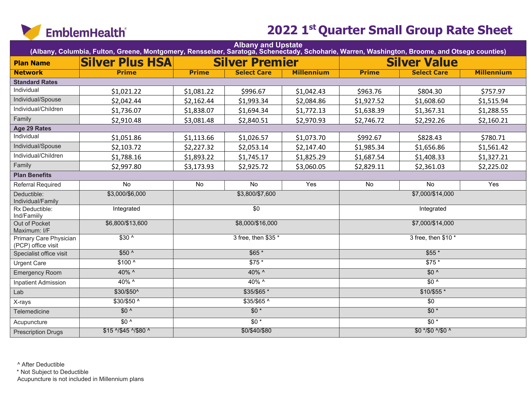

| Albany and Upstate<br>(Albany, Columbia, Fulton, Greene, Montgomery, Rensselaer, Saratoga, Schenectady, Schoharie, Warren, Washington, Broome, and Otsego counties) |                        |                       |                        |                   |                     |                     |                   |  |  |  |
|---------------------------------------------------------------------------------------------------------------------------------------------------------------------|------------------------|-----------------------|------------------------|-------------------|---------------------|---------------------|-------------------|--|--|--|
| <b>Plan Name</b>                                                                                                                                                    | <b>Silver Plus HSA</b> | <b>Silver Premier</b> |                        |                   |                     | <b>Silver Value</b> |                   |  |  |  |
| <b>Network</b>                                                                                                                                                      | <b>Prime</b>           | <b>Prime</b>          | <b>Select Care</b>     | <b>Millennium</b> | <b>Prime</b>        | <b>Select Care</b>  | <b>Millennium</b> |  |  |  |
| <b>Standard Rates</b>                                                                                                                                               |                        |                       |                        |                   |                     |                     |                   |  |  |  |
| Individual                                                                                                                                                          | \$1,021.22             | \$1,081.22            | \$996.67               | \$1,042.43        | \$963.76            | \$804.30            | \$757.97          |  |  |  |
| Individual/Spouse                                                                                                                                                   | \$2,042.44             | \$2,162.44            | \$1,993.34             | \$2,084.86        | \$1,927.52          | \$1,608.60          | \$1,515.94        |  |  |  |
| Individual/Children                                                                                                                                                 | \$1,736.07             | \$1,838.07            | \$1,694.34             | \$1,772.13        | \$1,638.39          | \$1,367.31          | \$1,288.55        |  |  |  |
| Family                                                                                                                                                              | \$2,910.48             | \$3,081.48            | \$2,840.51             | \$2,970.93        | \$2,746.72          | \$2,292.26          | \$2,160.21        |  |  |  |
| Age 29 Rates                                                                                                                                                        |                        |                       |                        |                   |                     |                     |                   |  |  |  |
| Individual                                                                                                                                                          | \$1,051.86             | \$1,113.66            | \$1,026.57             | \$1,073.70        | \$992.67            | \$828.43            | \$780.71          |  |  |  |
| Individual/Spouse                                                                                                                                                   | \$2,103.72             | \$2,227.32            | \$2,053.14             | \$2,147.40        | \$1,985.34          | \$1,656.86          | \$1,561.42        |  |  |  |
| Individual/Children                                                                                                                                                 | \$1,788.16             | \$1,893.22            | \$1,745.17             | \$1,825.29        | \$1,687.54          | \$1,408.33          | \$1,327.21        |  |  |  |
| Family                                                                                                                                                              | \$2,997.80             | \$3,173.93            | \$2,925.72             | \$3,060.05        | \$2,829.11          | \$2,361.03          | \$2,225.02        |  |  |  |
| <b>Plan Benefits</b>                                                                                                                                                |                        |                       |                        |                   |                     |                     |                   |  |  |  |
| <b>Referral Required</b>                                                                                                                                            | No                     | No                    | No                     | Yes               | No                  | No                  | Yes               |  |  |  |
| Deductible:<br>Individual/Family                                                                                                                                    | \$3,000/\$6,000        |                       | \$3,800/\$7,600        |                   |                     | \$7,000/\$14,000    |                   |  |  |  |
| Rx Deductible:<br>Ind/Familly                                                                                                                                       | Integrated             |                       | \$0                    |                   |                     | Integrated          |                   |  |  |  |
| Out of Pocket<br>Maximum: I/F                                                                                                                                       | \$6,800/\$13,600       |                       | \$8,000/\$16,000       |                   | \$7,000/\$14,000    |                     |                   |  |  |  |
| Primary Care Physician<br>(PCP) office visit                                                                                                                        | $$30^{\circ}$          |                       | 3 free, then \$35 *    |                   | 3 free, then \$10 * |                     |                   |  |  |  |
| Specialist office visit                                                                                                                                             | $$50^{\circ}$          |                       | $$65*$                 |                   | $$55*$              |                     |                   |  |  |  |
| <b>Urgent Care</b>                                                                                                                                                  | $$100^{\circ}$         |                       | $$75*$                 |                   |                     | $$75*$              |                   |  |  |  |
| <b>Emergency Room</b>                                                                                                                                               | 40% ^                  |                       | $40\%$ ^               |                   |                     | $$0^{\prime}$       |                   |  |  |  |
| <b>Inpatient Admission</b>                                                                                                                                          | 40% ^                  |                       | 40% ^                  |                   |                     | $$0^{\prime}$       |                   |  |  |  |
| Lab                                                                                                                                                                 | \$30/\$50^             |                       | $$35/\$65$ *           |                   |                     | $$10/$55*$          |                   |  |  |  |
| X-rays                                                                                                                                                              | $$30/$50^{\circ}$      |                       | $$35/$65$ <sup>^</sup> |                   |                     | $\overline{50}$     |                   |  |  |  |
| Telemedicine                                                                                                                                                        | $$0^{\prime}$          |                       | $$0*$                  |                   |                     | $$0*$               |                   |  |  |  |
| Acupuncture                                                                                                                                                         | $$0^{\prime}$          |                       | $$0*$                  |                   |                     | $\overline{50*}$    |                   |  |  |  |
| <b>Prescription Drugs</b>                                                                                                                                           | \$15 ^/\$45 ^/\$80 ^   |                       | \$0/\$40/\$80          |                   |                     | \$0 */\$0 ^/\$0 ^   |                   |  |  |  |

^ After Deductible

\* Not Subject to Deductible